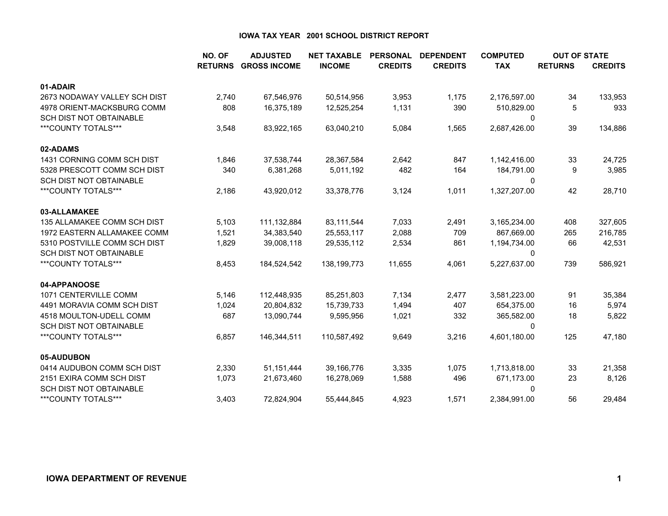|                                    | NO. OF         | <b>ADJUSTED</b>     | <b>NET TAXABLE</b> | <b>PERSONAL</b> | <b>DEPENDENT</b> | <b>COMPUTED</b> | <b>OUT OF STATE</b> |                |
|------------------------------------|----------------|---------------------|--------------------|-----------------|------------------|-----------------|---------------------|----------------|
|                                    | <b>RETURNS</b> | <b>GROSS INCOME</b> | <b>INCOME</b>      | <b>CREDITS</b>  | <b>CREDITS</b>   | <b>TAX</b>      | <b>RETURNS</b>      | <b>CREDITS</b> |
| 01-ADAIR                           |                |                     |                    |                 |                  |                 |                     |                |
| 2673 NODAWAY VALLEY SCH DIST       | 2,740          | 67,546,976          | 50,514,956         | 3,953           | 1,175            | 2,176,597.00    | 34                  | 133,953        |
| 4978 ORIENT-MACKSBURG COMM         | 808            | 16,375,189          | 12,525,254         | 1,131           | 390              | 510,829.00      | 5                   | 933            |
| SCH DIST NOT OBTAINABLE            |                |                     |                    |                 |                  | 0               |                     |                |
| ***COUNTY TOTALS***                | 3,548          | 83,922,165          | 63,040,210         | 5,084           | 1,565            | 2,687,426.00    | 39                  | 134,886        |
| 02-ADAMS                           |                |                     |                    |                 |                  |                 |                     |                |
| 1431 CORNING COMM SCH DIST         | 1,846          | 37,538,744          | 28,367,584         | 2,642           | 847              | 1,142,416.00    | 33                  | 24,725         |
| 5328 PRESCOTT COMM SCH DIST        | 340            | 6,381,268           | 5,011,192          | 482             | 164              | 184,791.00      | 9                   | 3,985          |
| <b>SCH DIST NOT OBTAINABLE</b>     |                |                     |                    |                 |                  | $\mathbf 0$     |                     |                |
| ***COUNTY TOTALS***                | 2,186          | 43,920,012          | 33,378,776         | 3,124           | 1,011            | 1,327,207.00    | 42                  | 28,710         |
| 03-ALLAMAKEE                       |                |                     |                    |                 |                  |                 |                     |                |
| <b>135 ALLAMAKEE COMM SCH DIST</b> | 5,103          | 111,132,884         | 83,111,544         | 7,033           | 2,491            | 3,165,234.00    | 408                 | 327,605        |
| 1972 EASTERN ALLAMAKEE COMM        | 1,521          | 34,383,540          | 25,553,117         | 2,088           | 709              | 867,669.00      | 265                 | 216,785        |
| 5310 POSTVILLE COMM SCH DIST       | 1,829          | 39,008,118          | 29,535,112         | 2,534           | 861              | 1,194,734.00    | 66                  | 42,531         |
| <b>SCH DIST NOT OBTAINABLE</b>     |                |                     |                    |                 |                  | 0               |                     |                |
| ***COUNTY TOTALS***                | 8,453          | 184,524,542         | 138,199,773        | 11,655          | 4,061            | 5,227,637.00    | 739                 | 586,921        |
| 04-APPANOOSE                       |                |                     |                    |                 |                  |                 |                     |                |
| 1071 CENTERVILLE COMM              | 5,146          | 112,448,935         | 85,251,803         | 7,134           | 2,477            | 3,581,223.00    | 91                  | 35,384         |
| 4491 MORAVIA COMM SCH DIST         | 1,024          | 20,804,832          | 15,739,733         | 1,494           | 407              | 654,375.00      | 16                  | 5,974          |
| 4518 MOULTON-UDELL COMM            | 687            | 13,090,744          | 9,595,956          | 1,021           | 332              | 365,582.00      | 18                  | 5,822          |
| <b>SCH DIST NOT OBTAINABLE</b>     |                |                     |                    |                 |                  | $\mathbf 0$     |                     |                |
| ***COUNTY TOTALS***                | 6,857          | 146,344,511         | 110,587,492        | 9,649           | 3,216            | 4,601,180.00    | 125                 | 47,180         |
| 05-AUDUBON                         |                |                     |                    |                 |                  |                 |                     |                |
| 0414 AUDUBON COMM SCH DIST         | 2,330          | 51,151,444          | 39,166,776         | 3,335           | 1,075            | 1,713,818.00    | 33                  | 21,358         |
| 2151 EXIRA COMM SCH DIST           | 1,073          | 21,673,460          | 16,278,069         | 1,588           | 496              | 671,173.00      | 23                  | 8,126          |
| <b>SCH DIST NOT OBTAINABLE</b>     |                |                     |                    |                 |                  | 0               |                     |                |
| ***COUNTY TOTALS***                | 3,403          | 72,824,904          | 55,444,845         | 4,923           | 1,571            | 2,384,991.00    | 56                  | 29,484         |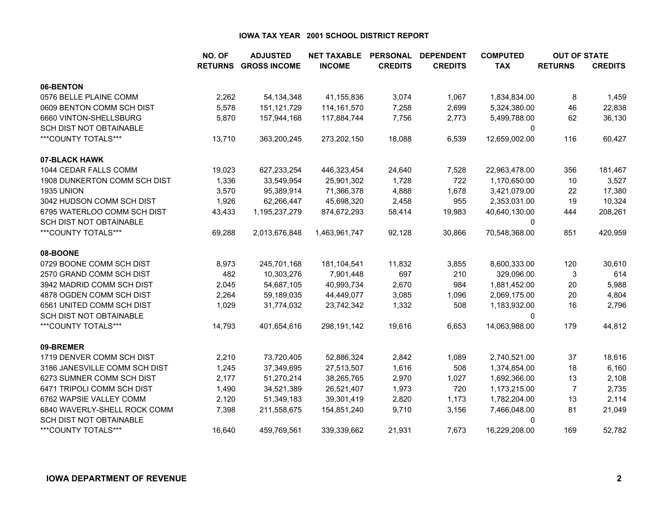|                                | NO. OF         | <b>ADJUSTED</b>     | <b>NET TAXABLE</b> | <b>PERSONAL</b> | <b>DEPENDENT</b> | <b>COMPUTED</b> | <b>OUT OF STATE</b> |                |
|--------------------------------|----------------|---------------------|--------------------|-----------------|------------------|-----------------|---------------------|----------------|
|                                | <b>RETURNS</b> | <b>GROSS INCOME</b> | <b>INCOME</b>      | <b>CREDITS</b>  | <b>CREDITS</b>   | <b>TAX</b>      | <b>RETURNS</b>      | <b>CREDITS</b> |
| 06-BENTON                      |                |                     |                    |                 |                  |                 |                     |                |
| 0576 BELLE PLAINE COMM         | 2,262          | 54, 134, 348        | 41,155,836         | 3,074           | 1,067            | 1,834,834.00    | 8                   | 1,459          |
| 0609 BENTON COMM SCH DIST      | 5,578          | 151,121,729         | 114, 161, 570      | 7,258           | 2,699            | 5,324,380.00    | 46                  | 22,838         |
| 6660 VINTON-SHELLSBURG         | 5,870          | 157,944,168         | 117,884,744        | 7,756           | 2,773            | 5,499,788.00    | 62                  | 36,130         |
| SCH DIST NOT OBTAINABLE        |                |                     |                    |                 |                  | 0               |                     |                |
| ***COUNTY TOTALS***            | 13,710         | 363,200,245         | 273,202,150        | 18,088          | 6,539            | 12,659,002.00   | 116                 | 60,427         |
| 07-BLACK HAWK                  |                |                     |                    |                 |                  |                 |                     |                |
| 1044 CEDAR FALLS COMM          | 19,023         | 627,233,254         | 446,323,454        | 24,640          | 7,528            | 22,963,478.00   | 356                 | 181,467        |
| 1908 DUNKERTON COMM SCH DIST   | 1,336          | 33,549,954          | 25,901,302         | 1,728           | 722              | 1,170,650.00    | 10                  | 3,527          |
| <b>1935 UNION</b>              | 3,570          | 95,389,914          | 71,366,378         | 4,888           | 1,678            | 3,421,079.00    | 22                  | 17,380         |
| 3042 HUDSON COMM SCH DIST      | 1,926          | 62,266,447          | 45,698,320         | 2,458           | 955              | 2,353,031.00    | 19                  | 10,324         |
| 6795 WATERLOO COMM SCH DIST    | 43,433         | 1,195,237,279       | 874,672,293        | 58,414          | 19,983           | 40,640,130.00   | 444                 | 208,261        |
| <b>SCH DIST NOT OBTAINABLE</b> |                |                     |                    |                 |                  | 0               |                     |                |
| ***COUNTY TOTALS***            | 69,288         | 2,013,676,848       | 1,463,961,747      | 92,128          | 30,866           | 70,548,368.00   | 851                 | 420,959        |
| 08-BOONE                       |                |                     |                    |                 |                  |                 |                     |                |
| 0729 BOONE COMM SCH DIST       | 8,973          | 245,701,168         | 181,104,541        | 11,832          | 3,855            | 8,600,333.00    | 120                 | 30,610         |
| 2570 GRAND COMM SCH DIST       | 482            | 10,303,276          | 7,901,448          | 697             | 210              | 329,096.00      | 3                   | 614            |
| 3942 MADRID COMM SCH DIST      | 2,045          | 54,687,105          | 40,993,734         | 2,670           | 984              | 1,881,452.00    | 20                  | 5,988          |
| 4878 OGDEN COMM SCH DIST       | 2,264          | 59,189,035          | 44,449,077         | 3,085           | 1,096            | 2,069,175.00    | 20                  | 4,804          |
| 6561 UNITED COMM SCH DIST      | 1,029          | 31,774,032          | 23,742,342         | 1,332           | 508              | 1,183,932.00    | 16                  | 2,796          |
| <b>SCH DIST NOT OBTAINABLE</b> |                |                     |                    |                 |                  | 0               |                     |                |
| ***COUNTY TOTALS***            | 14,793         | 401,654,616         | 298, 191, 142      | 19,616          | 6,653            | 14,063,988.00   | 179                 | 44,812         |
| 09-BREMER                      |                |                     |                    |                 |                  |                 |                     |                |
| 1719 DENVER COMM SCH DIST      | 2,210          | 73,720,405          | 52,886,324         | 2,842           | 1,089            | 2,740,521.00    | 37                  | 18,616         |
| 3186 JANESVILLE COMM SCH DIST  | 1,245          | 37,349,695          | 27,513,507         | 1,616           | 508              | 1,374,854.00    | 18                  | 6,160          |
| 6273 SUMNER COMM SCH DIST      | 2,177          | 51,270,214          | 38,265,765         | 2,970           | 1,027            | 1,692,366.00    | 13                  | 2,108          |
| 6471 TRIPOLI COMM SCH DIST     | 1,490          | 34,521,389          | 26,521,407         | 1,973           | 720              | 1,173,215.00    | 7                   | 2,735          |
| 6762 WAPSIE VALLEY COMM        | 2,120          | 51,349,183          | 39,301,419         | 2,820           | 1,173            | 1,782,204.00    | 13                  | 2,114          |
| 6840 WAVERLY-SHELL ROCK COMM   | 7,398          | 211,558,675         | 154,851,240        | 9,710           | 3,156            | 7,466,048.00    | 81                  | 21,049         |
| SCH DIST NOT OBTAINABLE        |                |                     |                    |                 |                  | 0               |                     |                |
| ***COUNTY TOTALS***            | 16.640         | 459,769,561         | 339,339,662        | 21,931          | 7,673            | 16,229,208.00   | 169                 | 52,782         |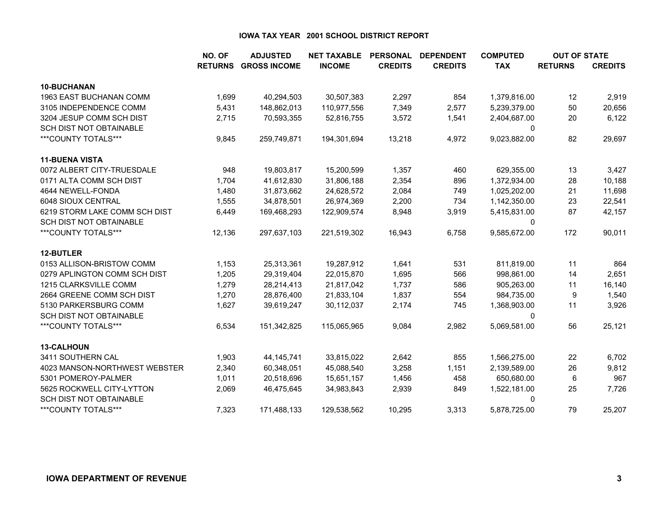|                                | NO. OF         | <b>ADJUSTED</b>     | <b>NET TAXABLE</b> | <b>PERSONAL</b> | <b>DEPENDENT</b> | <b>COMPUTED</b> | <b>OUT OF STATE</b> |                |
|--------------------------------|----------------|---------------------|--------------------|-----------------|------------------|-----------------|---------------------|----------------|
|                                | <b>RETURNS</b> | <b>GROSS INCOME</b> | <b>INCOME</b>      | <b>CREDITS</b>  | <b>CREDITS</b>   | <b>TAX</b>      | <b>RETURNS</b>      | <b>CREDITS</b> |
| 10-BUCHANAN                    |                |                     |                    |                 |                  |                 |                     |                |
| 1963 EAST BUCHANAN COMM        | 1,699          | 40,294,503          | 30,507,383         | 2,297           | 854              | 1,379,816.00    | 12                  | 2,919          |
| 3105 INDEPENDENCE COMM         | 5,431          | 148,862,013         | 110,977,556        | 7,349           | 2,577            | 5,239,379.00    | 50                  | 20,656         |
| 3204 JESUP COMM SCH DIST       | 2,715          | 70,593,355          | 52,816,755         | 3,572           | 1,541            | 2,404,687.00    | 20                  | 6,122          |
| <b>SCH DIST NOT OBTAINABLE</b> |                |                     |                    |                 |                  | 0               |                     |                |
| ***COUNTY TOTALS***            | 9,845          | 259,749,871         | 194,301,694        | 13,218          | 4,972            | 9,023,882.00    | 82                  | 29,697         |
| <b>11-BUENA VISTA</b>          |                |                     |                    |                 |                  |                 |                     |                |
| 0072 ALBERT CITY-TRUESDALE     | 948            | 19,803,817          | 15,200,599         | 1,357           | 460              | 629,355.00      | 13                  | 3,427          |
| 0171 ALTA COMM SCH DIST        | 1,704          | 41,612,830          | 31,806,188         | 2,354           | 896              | 1,372,934.00    | 28                  | 10,188         |
| 4644 NEWELL-FONDA              | 1,480          | 31,873,662          | 24,628,572         | 2,084           | 749              | 1,025,202.00    | 21                  | 11,698         |
| 6048 SIOUX CENTRAL             | 1,555          | 34,878,501          | 26,974,369         | 2,200           | 734              | 1,142,350.00    | 23                  | 22,541         |
| 6219 STORM LAKE COMM SCH DIST  | 6,449          | 169,468,293         | 122,909,574        | 8,948           | 3,919            | 5,415,831.00    | 87                  | 42,157         |
| <b>SCH DIST NOT OBTAINABLE</b> |                |                     |                    |                 |                  | 0               |                     |                |
| ***COUNTY TOTALS***            | 12,136         | 297,637,103         | 221,519,302        | 16,943          | 6,758            | 9,585,672.00    | 172                 | 90,011         |
| 12-BUTLER                      |                |                     |                    |                 |                  |                 |                     |                |
| 0153 ALLISON-BRISTOW COMM      | 1,153          | 25,313,361          | 19,287,912         | 1,641           | 531              | 811,819.00      | 11                  | 864            |
| 0279 APLINGTON COMM SCH DIST   | 1,205          | 29,319,404          | 22,015,870         | 1,695           | 566              | 998,861.00      | 14                  | 2,651          |
| 1215 CLARKSVILLE COMM          | 1,279          | 28,214,413          | 21,817,042         | 1,737           | 586              | 905,263.00      | 11                  | 16,140         |
| 2664 GREENE COMM SCH DIST      | 1,270          | 28,876,400          | 21,833,104         | 1,837           | 554              | 984,735.00      | 9                   | 1,540          |
| 5130 PARKERSBURG COMM          | 1,627          | 39,619,247          | 30,112,037         | 2,174           | 745              | 1,368,903.00    | 11                  | 3,926          |
| SCH DIST NOT OBTAINABLE        |                |                     |                    |                 |                  | 0               |                     |                |
| ***COUNTY TOTALS***            | 6,534          | 151,342,825         | 115,065,965        | 9,084           | 2,982            | 5,069,581.00    | 56                  | 25,121         |
| <b>13-CALHOUN</b>              |                |                     |                    |                 |                  |                 |                     |                |
| 3411 SOUTHERN CAL              | 1,903          | 44, 145, 741        | 33,815,022         | 2,642           | 855              | 1,566,275.00    | 22                  | 6,702          |
| 4023 MANSON-NORTHWEST WEBSTER  | 2,340          | 60,348,051          | 45,088,540         | 3,258           | 1,151            | 2,139,589.00    | 26                  | 9,812          |
| 5301 POMEROY-PALMER            | 1,011          | 20,518,696          | 15,651,157         | 1,456           | 458              | 650,680.00      | 6                   | 967            |
| 5625 ROCKWELL CITY-LYTTON      | 2,069          | 46,475,645          | 34,983,843         | 2,939           | 849              | 1,522,181.00    | 25                  | 7,726          |
| <b>SCH DIST NOT OBTAINABLE</b> |                |                     |                    |                 |                  | 0               |                     |                |
| ***COUNTY TOTALS***            | 7,323          | 171,488,133         | 129,538,562        | 10,295          | 3,313            | 5,878,725.00    | 79                  | 25,207         |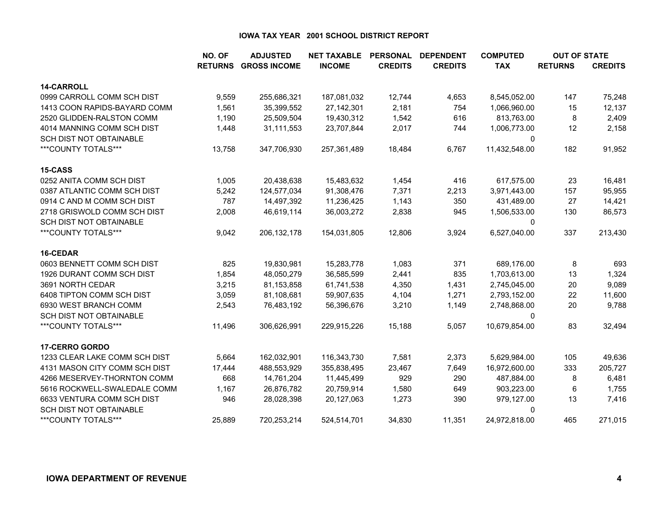|                                | NO. OF         | <b>ADJUSTED</b>     | <b>NET TAXABLE</b> | <b>PERSONAL</b> | <b>DEPENDENT</b> | <b>COMPUTED</b> | <b>OUT OF STATE</b> |                |
|--------------------------------|----------------|---------------------|--------------------|-----------------|------------------|-----------------|---------------------|----------------|
|                                | <b>RETURNS</b> | <b>GROSS INCOME</b> | <b>INCOME</b>      | <b>CREDITS</b>  | <b>CREDITS</b>   | <b>TAX</b>      | <b>RETURNS</b>      | <b>CREDITS</b> |
| <b>14-CARROLL</b>              |                |                     |                    |                 |                  |                 |                     |                |
| 0999 CARROLL COMM SCH DIST     | 9,559          | 255,686,321         | 187,081,032        | 12,744          | 4,653            | 8,545,052.00    | 147                 | 75,248         |
| 1413 COON RAPIDS-BAYARD COMM   | 1,561          | 35,399,552          | 27,142,301         | 2,181           | 754              | 1,066,960.00    | 15                  | 12,137         |
| 2520 GLIDDEN-RALSTON COMM      | 1,190          | 25,509,504          | 19,430,312         | 1,542           | 616              | 813,763.00      | 8                   | 2,409          |
| 4014 MANNING COMM SCH DIST     | 1,448          | 31,111,553          | 23,707,844         | 2,017           | 744              | 1,006,773.00    | 12                  | 2,158          |
| SCH DIST NOT OBTAINABLE        |                |                     |                    |                 |                  | 0               |                     |                |
| ***COUNTY TOTALS***            | 13,758         | 347,706,930         | 257,361,489        | 18,484          | 6,767            | 11,432,548.00   | 182                 | 91,952         |
| 15-CASS                        |                |                     |                    |                 |                  |                 |                     |                |
| 0252 ANITA COMM SCH DIST       | 1,005          | 20,438,638          | 15,483,632         | 1,454           | 416              | 617,575.00      | 23                  | 16,481         |
| 0387 ATLANTIC COMM SCH DIST    | 5,242          | 124,577,034         | 91,308,476         | 7,371           | 2,213            | 3,971,443.00    | 157                 | 95,955         |
| 0914 C AND M COMM SCH DIST     | 787            | 14,497,392          | 11,236,425         | 1,143           | 350              | 431,489.00      | 27                  | 14,421         |
| 2718 GRISWOLD COMM SCH DIST    | 2,008          | 46,619,114          | 36,003,272         | 2,838           | 945              | 1,506,533.00    | 130                 | 86,573         |
| <b>SCH DIST NOT OBTAINABLE</b> |                |                     |                    |                 |                  | 0               |                     |                |
| ***COUNTY TOTALS***            | 9,042          | 206, 132, 178       | 154,031,805        | 12,806          | 3,924            | 6,527,040.00    | 337                 | 213,430        |
| 16-CEDAR                       |                |                     |                    |                 |                  |                 |                     |                |
| 0603 BENNETT COMM SCH DIST     | 825            | 19,830,981          | 15,283,778         | 1,083           | 371              | 689,176.00      | 8                   | 693            |
| 1926 DURANT COMM SCH DIST      | 1,854          | 48,050,279          | 36,585,599         | 2,441           | 835              | 1,703,613.00    | 13                  | 1,324          |
| 3691 NORTH CEDAR               | 3,215          | 81,153,858          | 61,741,538         | 4,350           | 1,431            | 2,745,045.00    | 20                  | 9,089          |
| 6408 TIPTON COMM SCH DIST      | 3,059          | 81,108,681          | 59,907,635         | 4,104           | 1,271            | 2,793,152.00    | 22                  | 11,600         |
| 6930 WEST BRANCH COMM          | 2,543          | 76,483,192          | 56,396,676         | 3,210           | 1,149            | 2,748,868.00    | 20                  | 9,788          |
| <b>SCH DIST NOT OBTAINABLE</b> |                |                     |                    |                 |                  | $\Omega$        |                     |                |
| ***COUNTY TOTALS***            | 11,496         | 306,626,991         | 229,915,226        | 15,188          | 5,057            | 10,679,854.00   | 83                  | 32,494         |
| <b>17-CERRO GORDO</b>          |                |                     |                    |                 |                  |                 |                     |                |
| 1233 CLEAR LAKE COMM SCH DIST  | 5,664          | 162,032,901         | 116,343,730        | 7,581           | 2,373            | 5,629,984.00    | 105                 | 49,636         |
| 4131 MASON CITY COMM SCH DIST  | 17,444         | 488,553,929         | 355,838,495        | 23,467          | 7,649            | 16,972,600.00   | 333                 | 205,727        |
| 4266 MESERVEY-THORNTON COMM    | 668            | 14,761,204          | 11,445,499         | 929             | 290              | 487,884.00      | 8                   | 6,481          |
| 5616 ROCKWELL-SWALEDALE COMM   | 1,167          | 26,876,782          | 20,759,914         | 1,580           | 649              | 903,223.00      | 6                   | 1,755          |
| 6633 VENTURA COMM SCH DIST     | 946            | 28,028,398          | 20,127,063         | 1,273           | 390              | 979,127.00      | 13                  | 7,416          |
| SCH DIST NOT OBTAINABLE        |                |                     |                    |                 |                  | 0               |                     |                |
| ***COUNTY TOTALS***            | 25,889         | 720,253,214         | 524,514,701        | 34,830          | 11,351           | 24,972,818.00   | 465                 | 271,015        |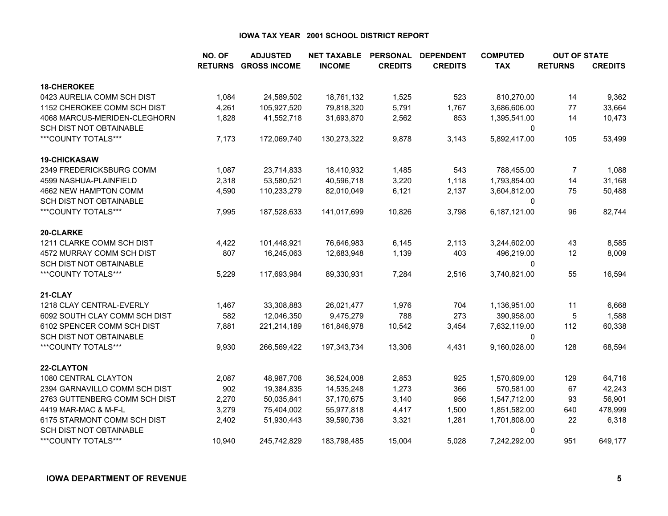|                                | NO. OF         | <b>ADJUSTED</b>     | <b>NET TAXABLE</b> | <b>PERSONAL</b> | <b>DEPENDENT</b> | <b>COMPUTED</b> | <b>OUT OF STATE</b> |                |
|--------------------------------|----------------|---------------------|--------------------|-----------------|------------------|-----------------|---------------------|----------------|
|                                | <b>RETURNS</b> | <b>GROSS INCOME</b> | <b>INCOME</b>      | <b>CREDITS</b>  | <b>CREDITS</b>   | <b>TAX</b>      | <b>RETURNS</b>      | <b>CREDITS</b> |
| <b>18-CHEROKEE</b>             |                |                     |                    |                 |                  |                 |                     |                |
| 0423 AURELIA COMM SCH DIST     | 1,084          | 24,589,502          | 18,761,132         | 1,525           | 523              | 810,270.00      | 14                  | 9,362          |
| 1152 CHEROKEE COMM SCH DIST    | 4,261          | 105,927,520         | 79,818,320         | 5,791           | 1,767            | 3,686,606.00    | 77                  | 33,664         |
| 4068 MARCUS-MERIDEN-CLEGHORN   | 1,828          | 41,552,718          | 31,693,870         | 2,562           | 853              | 1,395,541.00    | 14                  | 10,473         |
| SCH DIST NOT OBTAINABLE        |                |                     |                    |                 |                  | 0               |                     |                |
| ***COUNTY TOTALS***            | 7,173          | 172,069,740         | 130,273,322        | 9,878           | 3,143            | 5,892,417.00    | 105                 | 53,499         |
| <b>19-CHICKASAW</b>            |                |                     |                    |                 |                  |                 |                     |                |
| 2349 FREDERICKSBURG COMM       | 1,087          | 23,714,833          | 18,410,932         | 1,485           | 543              | 788,455.00      | $\overline{7}$      | 1,088          |
| 4599 NASHUA-PLAINFIELD         | 2,318          | 53,580,521          | 40,596,718         | 3,220           | 1,118            | 1,793,854.00    | 14                  | 31,168         |
| 4662 NEW HAMPTON COMM          | 4,590          | 110,233,279         | 82,010,049         | 6,121           | 2,137            | 3,604,812.00    | 75                  | 50,488         |
| SCH DIST NOT OBTAINABLE        |                |                     |                    |                 |                  | 0               |                     |                |
| ***COUNTY TOTALS***            | 7,995          | 187,528,633         | 141,017,699        | 10,826          | 3,798            | 6,187,121.00    | 96                  | 82,744         |
| 20-CLARKE                      |                |                     |                    |                 |                  |                 |                     |                |
| 1211 CLARKE COMM SCH DIST      | 4,422          | 101,448,921         | 76,646,983         | 6,145           | 2,113            | 3,244,602.00    | 43                  | 8,585          |
| 4572 MURRAY COMM SCH DIST      | 807            | 16,245,063          | 12,683,948         | 1,139           | 403              | 496,219.00      | 12                  | 8,009          |
| <b>SCH DIST NOT OBTAINABLE</b> |                |                     |                    |                 |                  | 0               |                     |                |
| ***COUNTY TOTALS***            | 5,229          | 117,693,984         | 89,330,931         | 7,284           | 2,516            | 3,740,821.00    | 55                  | 16,594         |
| 21-CLAY                        |                |                     |                    |                 |                  |                 |                     |                |
| 1218 CLAY CENTRAL-EVERLY       | 1,467          | 33,308,883          | 26,021,477         | 1,976           | 704              | 1,136,951.00    | 11                  | 6,668          |
| 6092 SOUTH CLAY COMM SCH DIST  | 582            | 12,046,350          | 9,475,279          | 788             | 273              | 390,958.00      | 5                   | 1,588          |
| 6102 SPENCER COMM SCH DIST     | 7,881          | 221,214,189         | 161,846,978        | 10,542          | 3,454            | 7,632,119.00    | 112                 | 60,338         |
| <b>SCH DIST NOT OBTAINABLE</b> |                |                     |                    |                 |                  | 0               |                     |                |
| ***COUNTY TOTALS***            | 9,930          | 266,569,422         | 197,343,734        | 13,306          | 4,431            | 9,160,028.00    | 128                 | 68,594         |
| 22-CLAYTON                     |                |                     |                    |                 |                  |                 |                     |                |
| 1080 CENTRAL CLAYTON           | 2,087          | 48,987,708          | 36,524,008         | 2,853           | 925              | 1,570,609.00    | 129                 | 64,716         |
| 2394 GARNAVILLO COMM SCH DIST  | 902            | 19,384,835          | 14,535,248         | 1,273           | 366              | 570,581.00      | 67                  | 42,243         |
| 2763 GUTTENBERG COMM SCH DIST  | 2,270          | 50,035,841          | 37,170,675         | 3,140           | 956              | 1,547,712.00    | 93                  | 56,901         |
| 4419 MAR-MAC & M-F-L           | 3,279          | 75,404,002          | 55,977,818         | 4,417           | 1,500            | 1,851,582.00    | 640                 | 478,999        |
| 6175 STARMONT COMM SCH DIST    | 2,402          | 51,930,443          | 39,590,736         | 3,321           | 1,281            | 1,701,808.00    | 22                  | 6,318          |
| <b>SCH DIST NOT OBTAINABLE</b> |                |                     |                    |                 |                  | 0               |                     |                |
| ***COUNTY TOTALS***            | 10.940         | 245.742.829         | 183,798,485        | 15.004          | 5.028            | 7,242,292.00    | 951                 | 649,177        |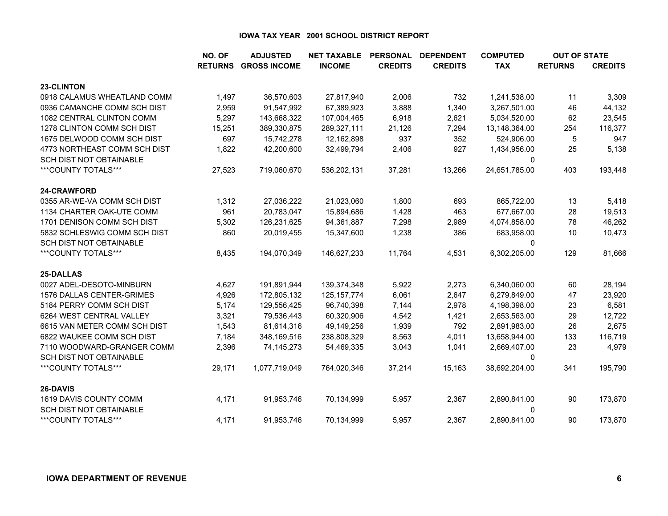|                                | NO. OF         | <b>ADJUSTED</b>     | <b>NET TAXABLE</b> | <b>PERSONAL</b> | <b>DEPENDENT</b> | <b>COMPUTED</b> | <b>OUT OF STATE</b> |                |
|--------------------------------|----------------|---------------------|--------------------|-----------------|------------------|-----------------|---------------------|----------------|
|                                | <b>RETURNS</b> | <b>GROSS INCOME</b> | <b>INCOME</b>      | <b>CREDITS</b>  | <b>CREDITS</b>   | <b>TAX</b>      | <b>RETURNS</b>      | <b>CREDITS</b> |
| 23-CLINTON                     |                |                     |                    |                 |                  |                 |                     |                |
| 0918 CALAMUS WHEATLAND COMM    | 1,497          | 36,570,603          | 27,817,940         | 2,006           | 732              | 1,241,538.00    | 11                  | 3,309          |
| 0936 CAMANCHE COMM SCH DIST    | 2,959          | 91,547,992          | 67,389,923         | 3,888           | 1,340            | 3,267,501.00    | 46                  | 44,132         |
| 1082 CENTRAL CLINTON COMM      | 5,297          | 143,668,322         | 107,004,465        | 6,918           | 2,621            | 5,034,520.00    | 62                  | 23,545         |
| 1278 CLINTON COMM SCH DIST     | 15,251         | 389,330,875         | 289,327,111        | 21,126          | 7,294            | 13,148,364.00   | 254                 | 116,377        |
| 1675 DELWOOD COMM SCH DIST     | 697            | 15,742,278          | 12,162,898         | 937             | 352              | 524,906.00      | 5                   | 947            |
| 4773 NORTHEAST COMM SCH DIST   | 1,822          | 42,200,600          | 32,499,794         | 2,406           | 927              | 1,434,956.00    | 25                  | 5,138          |
| SCH DIST NOT OBTAINABLE        |                |                     |                    |                 |                  | 0               |                     |                |
| ***COUNTY TOTALS***            | 27,523         | 719,060,670         | 536,202,131        | 37,281          | 13,266           | 24,651,785.00   | 403                 | 193,448        |
| 24-CRAWFORD                    |                |                     |                    |                 |                  |                 |                     |                |
| 0355 AR-WE-VA COMM SCH DIST    | 1,312          | 27,036,222          | 21,023,060         | 1,800           | 693              | 865,722.00      | 13                  | 5,418          |
| 1134 CHARTER OAK-UTE COMM      | 961            | 20,783,047          | 15,894,686         | 1,428           | 463              | 677,667.00      | 28                  | 19,513         |
| 1701 DENISON COMM SCH DIST     | 5,302          | 126,231,625         | 94,361,887         | 7,298           | 2,989            | 4,074,858.00    | 78                  | 46,262         |
| 5832 SCHLESWIG COMM SCH DIST   | 860            | 20,019,455          | 15,347,600         | 1,238           | 386              | 683,958.00      | 10                  | 10,473         |
| <b>SCH DIST NOT OBTAINABLE</b> |                |                     |                    |                 |                  | $\Omega$        |                     |                |
| ***COUNTY TOTALS***            | 8,435          | 194,070,349         | 146,627,233        | 11,764          | 4,531            | 6,302,205.00    | 129                 | 81,666         |
| 25-DALLAS                      |                |                     |                    |                 |                  |                 |                     |                |
| 0027 ADEL-DESOTO-MINBURN       | 4,627          | 191,891,944         | 139,374,348        | 5,922           | 2,273            | 6,340,060.00    | 60                  | 28,194         |
| 1576 DALLAS CENTER-GRIMES      | 4,926          | 172,805,132         | 125, 157, 774      | 6,061           | 2,647            | 6,279,849.00    | 47                  | 23,920         |
| 5184 PERRY COMM SCH DIST       | 5,174          | 129,556,425         | 96,740,398         | 7,144           | 2,978            | 4,198,398.00    | 23                  | 6,581          |
| 6264 WEST CENTRAL VALLEY       | 3,321          | 79,536,443          | 60,320,906         | 4,542           | 1,421            | 2,653,563.00    | 29                  | 12,722         |
| 6615 VAN METER COMM SCH DIST   | 1,543          | 81,614,316          | 49,149,256         | 1,939           | 792              | 2,891,983.00    | 26                  | 2,675          |
| 6822 WAUKEE COMM SCH DIST      | 7,184          | 348,169,516         | 238,808,329        | 8,563           | 4,011            | 13,658,944.00   | 133                 | 116,719        |
| 7110 WOODWARD-GRANGER COMM     | 2,396          | 74,145,273          | 54,469,335         | 3,043           | 1,041            | 2,669,407.00    | 23                  | 4,979          |
| SCH DIST NOT OBTAINABLE        |                |                     |                    |                 |                  | 0               |                     |                |
| ***COUNTY TOTALS***            | 29,171         | 1,077,719,049       | 764,020,346        | 37,214          | 15,163           | 38,692,204.00   | 341                 | 195,790        |
| 26-DAVIS                       |                |                     |                    |                 |                  |                 |                     |                |
| 1619 DAVIS COUNTY COMM         | 4,171          | 91,953,746          | 70,134,999         | 5,957           | 2,367            | 2,890,841.00    | 90                  | 173,870        |
| <b>SCH DIST NOT OBTAINABLE</b> |                |                     |                    |                 |                  | 0               |                     |                |
| ***COUNTY TOTALS***            | 4,171          | 91,953,746          | 70,134,999         | 5,957           | 2,367            | 2,890,841.00    | 90                  | 173,870        |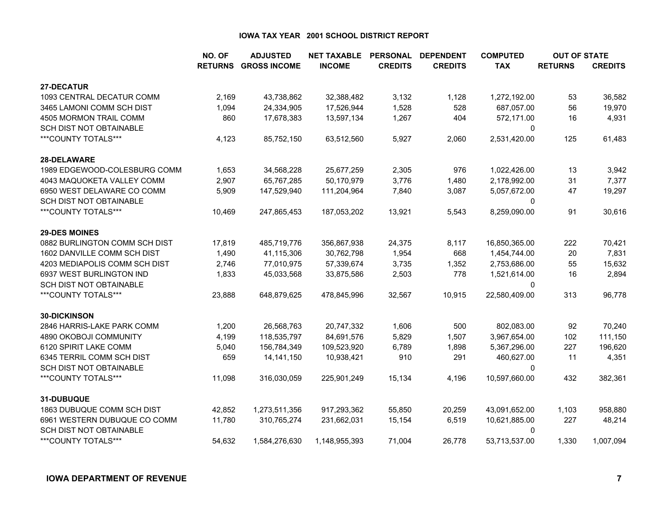|                                                         | NO. OF         | <b>ADJUSTED</b>     | <b>NET TAXABLE</b> | <b>PERSONAL</b> | <b>DEPENDENT</b> | <b>COMPUTED</b>    | <b>OUT OF STATE</b> |                |
|---------------------------------------------------------|----------------|---------------------|--------------------|-----------------|------------------|--------------------|---------------------|----------------|
|                                                         | <b>RETURNS</b> | <b>GROSS INCOME</b> | <b>INCOME</b>      | <b>CREDITS</b>  | <b>CREDITS</b>   | <b>TAX</b>         | <b>RETURNS</b>      | <b>CREDITS</b> |
| 27-DECATUR                                              |                |                     |                    |                 |                  |                    |                     |                |
| 1093 CENTRAL DECATUR COMM                               | 2,169          | 43,738,862          | 32,388,482         | 3,132           | 1,128            | 1,272,192.00       | 53                  | 36,582         |
| 3465 LAMONI COMM SCH DIST                               | 1,094          | 24,334,905          | 17,526,944         | 1,528           | 528              | 687,057.00         | 56                  | 19,970         |
| 4505 MORMON TRAIL COMM                                  | 860            | 17,678,383          | 13,597,134         | 1,267           | 404              | 572,171.00         | 16                  | 4,931          |
| SCH DIST NOT OBTAINABLE                                 |                |                     |                    |                 |                  | 0                  |                     |                |
| ***COUNTY TOTALS***                                     | 4,123          | 85,752,150          | 63,512,560         | 5,927           | 2,060            | 2,531,420.00       | 125                 | 61,483         |
| 28-DELAWARE                                             |                |                     |                    |                 |                  |                    |                     |                |
| 1989 EDGEWOOD-COLESBURG COMM                            | 1,653          | 34,568,228          | 25,677,259         | 2,305           | 976              | 1,022,426.00       | 13                  | 3,942          |
| 4043 MAQUOKETA VALLEY COMM                              | 2,907          | 65,767,285          | 50,170,979         | 3,776           | 1,480            | 2,178,992.00       | 31                  | 7,377          |
| 6950 WEST DELAWARE CO COMM                              | 5,909          | 147,529,940         | 111,204,964        | 7,840           | 3,087            | 5,057,672.00       | 47                  | 19,297         |
| <b>SCH DIST NOT OBTAINABLE</b>                          |                |                     |                    |                 |                  | $\mathbf{0}$       |                     |                |
| ***COUNTY TOTALS***                                     | 10,469         | 247,865,453         | 187,053,202        | 13,921          | 5,543            | 8,259,090.00       | 91                  | 30,616         |
| <b>29-DES MOINES</b>                                    |                |                     |                    |                 |                  |                    |                     |                |
| 0882 BURLINGTON COMM SCH DIST                           | 17,819         | 485,719,776         | 356,867,938        | 24,375          | 8,117            | 16,850,365.00      | 222                 | 70,421         |
| 1602 DANVILLE COMM SCH DIST                             | 1,490          | 41,115,306          | 30,762,798         | 1,954           | 668              | 1,454,744.00       | 20                  | 7,831          |
| 4203 MEDIAPOLIS COMM SCH DIST                           | 2,746          | 77,010,975          | 57,339,674         | 3,735           | 1,352            | 2,753,686.00       | 55                  | 15,632         |
| 6937 WEST BURLINGTON IND                                | 1,833          | 45,033,568          | 33,875,586         | 2,503           | 778              | 1,521,614.00       | 16                  | 2,894          |
| SCH DIST NOT OBTAINABLE                                 |                |                     |                    |                 |                  | 0                  |                     |                |
| ***COUNTY TOTALS***                                     | 23,888         | 648,879,625         | 478,845,996        | 32,567          | 10,915           | 22,580,409.00      | 313                 | 96,778         |
| <b>30-DICKINSON</b>                                     |                |                     |                    |                 |                  |                    |                     |                |
| 2846 HARRIS-LAKE PARK COMM                              | 1,200          | 26,568,763          | 20,747,332         | 1,606           | 500              | 802,083.00         | 92                  | 70,240         |
| 4890 OKOBOJI COMMUNITY                                  | 4,199          | 118,535,797         | 84,691,576         | 5,829           | 1,507            | 3,967,654.00       | 102                 | 111,150        |
| 6120 SPIRIT LAKE COMM                                   | 5,040          | 156,784,349         | 109,523,920        | 6,789           | 1,898            | 5,367,296.00       | 227                 | 196,620        |
| 6345 TERRIL COMM SCH DIST                               | 659            | 14, 141, 150        | 10,938,421         | 910             | 291              | 460,627.00         | 11                  | 4,351          |
| SCH DIST NOT OBTAINABLE                                 |                |                     |                    |                 |                  | 0                  |                     |                |
| ***COUNTY TOTALS***                                     | 11,098         | 316,030,059         | 225,901,249        | 15,134          | 4,196            | 10,597,660.00      | 432                 | 382,361        |
| 31-DUBUQUE                                              |                |                     |                    |                 |                  |                    |                     |                |
| 1863 DUBUQUE COMM SCH DIST                              | 42,852         | 1,273,511,356       | 917,293,362        | 55,850          | 20,259           | 43,091,652.00      | 1,103               | 958,880        |
| 6961 WESTERN DUBUQUE CO COMM<br>SCH DIST NOT OBTAINABLE | 11,780         | 310,765,274         | 231,662,031        | 15,154          | 6,519            | 10,621,885.00<br>0 | 227                 | 48,214         |
| ***COUNTY TOTALS***                                     | 54,632         | 1,584,276,630       | 1,148,955,393      | 71,004          | 26,778           | 53,713,537.00      | 1,330               | 1,007,094      |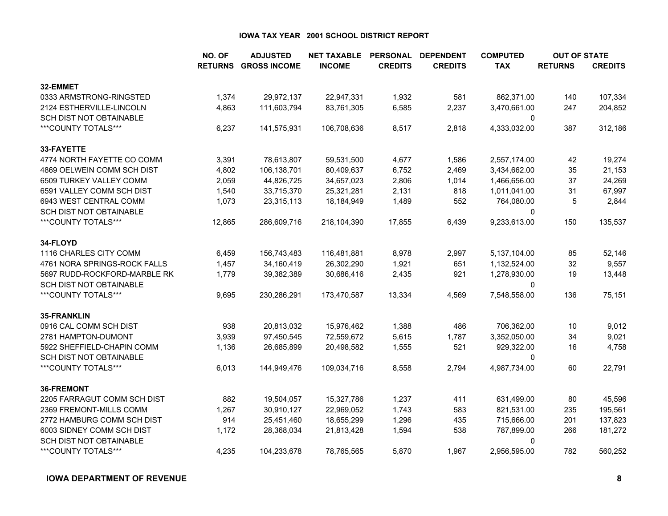|                                | NO. OF         | <b>ADJUSTED</b>     | <b>NET TAXABLE</b> | <b>PERSONAL</b> | <b>DEPENDENT</b> | <b>COMPUTED</b> | <b>OUT OF STATE</b> |                |
|--------------------------------|----------------|---------------------|--------------------|-----------------|------------------|-----------------|---------------------|----------------|
|                                | <b>RETURNS</b> | <b>GROSS INCOME</b> | <b>INCOME</b>      | <b>CREDITS</b>  | <b>CREDITS</b>   | <b>TAX</b>      | <b>RETURNS</b>      | <b>CREDITS</b> |
| 32-EMMET                       |                |                     |                    |                 |                  |                 |                     |                |
| 0333 ARMSTRONG-RINGSTED        | 1,374          | 29,972,137          | 22,947,331         | 1,932           | 581              | 862,371.00      | 140                 | 107,334        |
| 2124 ESTHERVILLE-LINCOLN       | 4,863          | 111,603,794         | 83,761,305         | 6,585           | 2,237            | 3,470,661.00    | 247                 | 204,852        |
| <b>SCH DIST NOT OBTAINABLE</b> |                |                     |                    |                 |                  | $\mathbf{0}$    |                     |                |
| ***COUNTY TOTALS***            | 6,237          | 141,575,931         | 106,708,636        | 8,517           | 2,818            | 4,333,032.00    | 387                 | 312,186        |
| 33-FAYETTE                     |                |                     |                    |                 |                  |                 |                     |                |
| 4774 NORTH FAYETTE CO COMM     | 3,391          | 78,613,807          | 59,531,500         | 4,677           | 1,586            | 2,557,174.00    | 42                  | 19,274         |
| 4869 OELWEIN COMM SCH DIST     | 4,802          | 106,138,701         | 80,409,637         | 6,752           | 2,469            | 3,434,662.00    | 35                  | 21,153         |
| 6509 TURKEY VALLEY COMM        | 2,059          | 44,826,725          | 34,657,023         | 2,806           | 1,014            | 1,466,656.00    | 37                  | 24,269         |
| 6591 VALLEY COMM SCH DIST      | 1,540          | 33,715,370          | 25,321,281         | 2,131           | 818              | 1,011,041.00    | 31                  | 67,997         |
| 6943 WEST CENTRAL COMM         | 1,073          | 23,315,113          | 18,184,949         | 1,489           | 552              | 764,080.00      | 5                   | 2,844          |
| SCH DIST NOT OBTAINABLE        |                |                     |                    |                 |                  | 0               |                     |                |
| ***COUNTY TOTALS***            | 12,865         | 286,609,716         | 218,104,390        | 17,855          | 6,439            | 9,233,613.00    | 150                 | 135,537        |
| 34-FLOYD                       |                |                     |                    |                 |                  |                 |                     |                |
| 1116 CHARLES CITY COMM         | 6,459          | 156,743,483         | 116,481,881        | 8,978           | 2,997            | 5,137,104.00    | 85                  | 52,146         |
| 4761 NORA SPRINGS-ROCK FALLS   | 1,457          | 34,160,419          | 26,302,290         | 1,921           | 651              | 1,132,524.00    | 32                  | 9,557          |
| 5697 RUDD-ROCKFORD-MARBLE RK   | 1,779          | 39,382,389          | 30,686,416         | 2,435           | 921              | 1,278,930.00    | 19                  | 13,448         |
| SCH DIST NOT OBTAINABLE        |                |                     |                    |                 |                  | 0               |                     |                |
| ***COUNTY TOTALS***            | 9,695          | 230,286,291         | 173,470,587        | 13,334          | 4,569            | 7,548,558.00    | 136                 | 75,151         |
| 35-FRANKLIN                    |                |                     |                    |                 |                  |                 |                     |                |
| 0916 CAL COMM SCH DIST         | 938            | 20,813,032          | 15,976,462         | 1,388           | 486              | 706,362.00      | 10                  | 9,012          |
| 2781 HAMPTON-DUMONT            | 3,939          | 97,450,545          | 72,559,672         | 5,615           | 1,787            | 3,352,050.00    | 34                  | 9,021          |
| 5922 SHEFFIELD-CHAPIN COMM     | 1,136          | 26,685,899          | 20,498,582         | 1,555           | 521              | 929,322.00      | 16                  | 4,758          |
| SCH DIST NOT OBTAINABLE        |                |                     |                    |                 |                  | 0               |                     |                |
| ***COUNTY TOTALS***            | 6,013          | 144,949,476         | 109,034,716        | 8,558           | 2,794            | 4,987,734.00    | 60                  | 22,791         |
| 36-FREMONT                     |                |                     |                    |                 |                  |                 |                     |                |
| 2205 FARRAGUT COMM SCH DIST    | 882            | 19,504,057          | 15,327,786         | 1,237           | 411              | 631,499.00      | 80                  | 45,596         |
| 2369 FREMONT-MILLS COMM        | 1,267          | 30,910,127          | 22,969,052         | 1,743           | 583              | 821,531.00      | 235                 | 195,561        |
| 2772 HAMBURG COMM SCH DIST     | 914            | 25,451,460          | 18,655,299         | 1,296           | 435              | 715,666.00      | 201                 | 137,823        |
| 6003 SIDNEY COMM SCH DIST      | 1,172          | 28,368,034          | 21,813,428         | 1,594           | 538              | 787,899.00      | 266                 | 181,272        |
| SCH DIST NOT OBTAINABLE        |                |                     |                    |                 |                  | 0               |                     |                |
| ***COUNTY TOTALS***            | 4,235          | 104,233,678         | 78,765,565         | 5,870           | 1,967            | 2,956,595.00    | 782                 | 560,252        |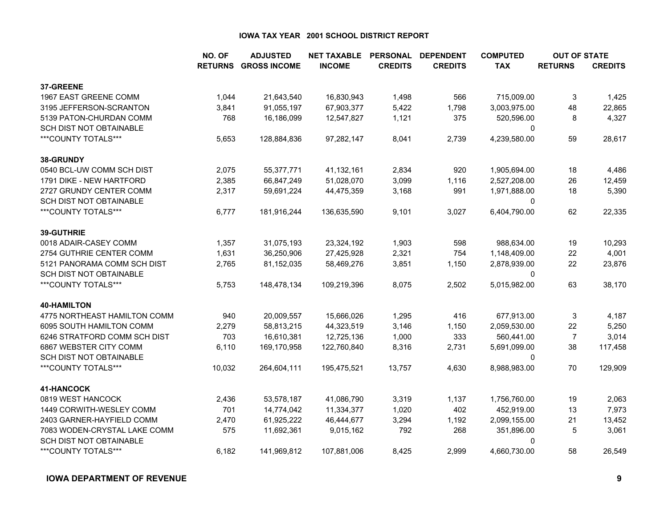|                              | NO. OF         | <b>ADJUSTED</b>     | <b>NET TAXABLE</b> | <b>PERSONAL</b> | <b>DEPENDENT</b> | <b>COMPUTED</b> | <b>OUT OF STATE</b> |                |
|------------------------------|----------------|---------------------|--------------------|-----------------|------------------|-----------------|---------------------|----------------|
|                              | <b>RETURNS</b> | <b>GROSS INCOME</b> | <b>INCOME</b>      | <b>CREDITS</b>  | <b>CREDITS</b>   | <b>TAX</b>      | <b>RETURNS</b>      | <b>CREDITS</b> |
| 37-GREENE                    |                |                     |                    |                 |                  |                 |                     |                |
| 1967 EAST GREENE COMM        | 1,044          | 21,643,540          | 16,830,943         | 1,498           | 566              | 715,009.00      | 3                   | 1,425          |
| 3195 JEFFERSON-SCRANTON      | 3,841          | 91,055,197          | 67,903,377         | 5,422           | 1,798            | 3,003,975.00    | 48                  | 22,865         |
| 5139 PATON-CHURDAN COMM      | 768            | 16,186,099          | 12,547,827         | 1,121           | 375              | 520,596.00      | 8                   | 4,327          |
| SCH DIST NOT OBTAINABLE      |                |                     |                    |                 |                  | 0               |                     |                |
| ***COUNTY TOTALS***          | 5,653          | 128,884,836         | 97,282,147         | 8,041           | 2,739            | 4,239,580.00    | 59                  | 28,617         |
| 38-GRUNDY                    |                |                     |                    |                 |                  |                 |                     |                |
| 0540 BCL-UW COMM SCH DIST    | 2,075          | 55,377,771          | 41,132,161         | 2,834           | 920              | 1,905,694.00    | 18                  | 4,486          |
| 1791 DIKE - NEW HARTFORD     | 2,385          | 66,847,249          | 51,028,070         | 3,099           | 1,116            | 2,527,208.00    | 26                  | 12,459         |
| 2727 GRUNDY CENTER COMM      | 2,317          | 59,691,224          | 44,475,359         | 3,168           | 991              | 1,971,888.00    | 18                  | 5,390          |
| SCH DIST NOT OBTAINABLE      |                |                     |                    |                 |                  | 0               |                     |                |
| ***COUNTY TOTALS***          | 6,777          | 181,916,244         | 136,635,590        | 9,101           | 3,027            | 6,404,790.00    | 62                  | 22,335         |
| 39-GUTHRIE                   |                |                     |                    |                 |                  |                 |                     |                |
| 0018 ADAIR-CASEY COMM        | 1,357          | 31,075,193          | 23,324,192         | 1,903           | 598              | 988,634.00      | 19                  | 10,293         |
| 2754 GUTHRIE CENTER COMM     | 1,631          | 36,250,906          | 27,425,928         | 2,321           | 754              | 1,148,409.00    | 22                  | 4,001          |
| 5121 PANORAMA COMM SCH DIST  | 2,765          | 81,152,035          | 58,469,276         | 3,851           | 1,150            | 2,878,939.00    | 22                  | 23,876         |
| SCH DIST NOT OBTAINABLE      |                |                     |                    |                 |                  | $\Omega$        |                     |                |
| ***COUNTY TOTALS***          | 5,753          | 148,478,134         | 109,219,396        | 8,075           | 2,502            | 5,015,982.00    | 63                  | 38,170         |
| <b>40-HAMILTON</b>           |                |                     |                    |                 |                  |                 |                     |                |
| 4775 NORTHEAST HAMILTON COMM | 940            | 20,009,557          | 15,666,026         | 1,295           | 416              | 677,913.00      | 3                   | 4,187          |
| 6095 SOUTH HAMILTON COMM     | 2,279          | 58,813,215          | 44,323,519         | 3,146           | 1,150            | 2,059,530.00    | 22                  | 5,250          |
| 6246 STRATFORD COMM SCH DIST | 703            | 16,610,381          | 12,725,136         | 1,000           | 333              | 560,441.00      | $\overline{7}$      | 3,014          |
| 6867 WEBSTER CITY COMM       | 6,110          | 169,170,958         | 122,760,840        | 8,316           | 2,731            | 5,691,099.00    | 38                  | 117,458        |
| SCH DIST NOT OBTAINABLE      |                |                     |                    |                 |                  | 0               |                     |                |
| ***COUNTY TOTALS***          | 10,032         | 264,604,111         | 195,475,521        | 13,757          | 4,630            | 8,988,983.00    | 70                  | 129,909        |
| 41-HANCOCK                   |                |                     |                    |                 |                  |                 |                     |                |
| 0819 WEST HANCOCK            | 2,436          | 53,578,187          | 41,086,790         | 3,319           | 1,137            | 1,756,760.00    | 19                  | 2,063          |
| 1449 CORWITH-WESLEY COMM     | 701            | 14,774,042          | 11,334,377         | 1,020           | 402              | 452,919.00      | 13                  | 7,973          |
| 2403 GARNER-HAYFIELD COMM    | 2,470          | 61,925,222          | 46,444,677         | 3,294           | 1,192            | 2,099,155.00    | 21                  | 13,452         |
| 7083 WODEN-CRYSTAL LAKE COMM | 575            | 11,692,361          | 9,015,162          | 792             | 268              | 351,896.00      | 5                   | 3,061          |
| SCH DIST NOT OBTAINABLE      |                |                     |                    |                 |                  | 0               |                     |                |
| ***COUNTY TOTALS***          | 6,182          | 141,969,812         | 107,881,006        | 8,425           | 2,999            | 4,660,730.00    | 58                  | 26,549         |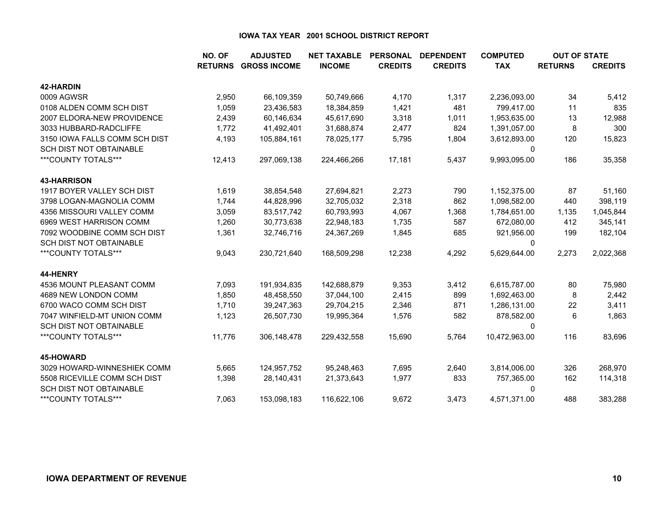|                                | NO. OF | <b>ADJUSTED</b>             | <b>NET TAXABLE</b> | <b>PERSONAL</b> | <b>DEPENDENT</b> | <b>COMPUTED</b> | <b>OUT OF STATE</b> |                |
|--------------------------------|--------|-----------------------------|--------------------|-----------------|------------------|-----------------|---------------------|----------------|
|                                |        | <b>RETURNS GROSS INCOME</b> | <b>INCOME</b>      | <b>CREDITS</b>  | <b>CREDITS</b>   | <b>TAX</b>      | <b>RETURNS</b>      | <b>CREDITS</b> |
| <b>42-HARDIN</b>               |        |                             |                    |                 |                  |                 |                     |                |
| 0009 AGWSR                     | 2,950  | 66,109,359                  | 50,749,666         | 4,170           | 1,317            | 2,236,093.00    | 34                  | 5,412          |
| 0108 ALDEN COMM SCH DIST       | 1,059  | 23,436,583                  | 18,384,859         | 1,421           | 481              | 799,417.00      | 11                  | 835            |
| 2007 ELDORA-NEW PROVIDENCE     | 2,439  | 60,146,634                  | 45,617,690         | 3,318           | 1,011            | 1,953,635.00    | 13                  | 12,988         |
| 3033 HUBBARD-RADCLIFFE         | 1,772  | 41,492,401                  | 31,688,874         | 2,477           | 824              | 1,391,057.00    | 8                   | 300            |
| 3150 IOWA FALLS COMM SCH DIST  | 4,193  | 105,884,161                 | 78,025,177         | 5,795           | 1,804            | 3,612,893.00    | 120                 | 15,823         |
| <b>SCH DIST NOT OBTAINABLE</b> |        |                             |                    |                 |                  | 0               |                     |                |
| ***COUNTY TOTALS***            | 12,413 | 297,069,138                 | 224,466,266        | 17,181          | 5,437            | 9,993,095.00    | 186                 | 35,358         |
| <b>43-HARRISON</b>             |        |                             |                    |                 |                  |                 |                     |                |
| 1917 BOYER VALLEY SCH DIST     | 1,619  | 38,854,548                  | 27,694,821         | 2,273           | 790              | 1,152,375.00    | 87                  | 51,160         |
| 3798 LOGAN-MAGNOLIA COMM       | 1,744  | 44,828,996                  | 32,705,032         | 2,318           | 862              | 1,098,582.00    | 440                 | 398,119        |
| 4356 MISSOURI VALLEY COMM      | 3,059  | 83,517,742                  | 60,793,993         | 4,067           | 1,368            | 1,784,651.00    | 1,135               | 1,045,844      |
| 6969 WEST HARRISON COMM        | 1,260  | 30,773,638                  | 22,948,183         | 1,735           | 587              | 672,080.00      | 412                 | 345,141        |
| 7092 WOODBINE COMM SCH DIST    | 1,361  | 32,746,716                  | 24,367,269         | 1,845           | 685              | 921,956.00      | 199                 | 182,104        |
| <b>SCH DIST NOT OBTAINABLE</b> |        |                             |                    |                 |                  | 0               |                     |                |
| ***COUNTY TOTALS***            | 9,043  | 230,721,640                 | 168,509,298        | 12,238          | 4,292            | 5,629,644.00    | 2,273               | 2,022,368      |
| 44-HENRY                       |        |                             |                    |                 |                  |                 |                     |                |
| 4536 MOUNT PLEASANT COMM       | 7,093  | 191,934,835                 | 142,688,879        | 9,353           | 3,412            | 6,615,787.00    | 80                  | 75,980         |
| 4689 NEW LONDON COMM           | 1,850  | 48,458,550                  | 37,044,100         | 2,415           | 899              | 1,692,463.00    | 8                   | 2,442          |
| 6700 WACO COMM SCH DIST        | 1,710  | 39,247,363                  | 29,704,215         | 2,346           | 871              | 1,286,131.00    | 22                  | 3,411          |
| 7047 WINFIELD-MT UNION COMM    | 1,123  | 26,507,730                  | 19,995,364         | 1,576           | 582              | 878,582.00      | 6                   | 1,863          |
| <b>SCH DIST NOT OBTAINABLE</b> |        |                             |                    |                 |                  | 0               |                     |                |
| ***COUNTY TOTALS***            | 11,776 | 306, 148, 478               | 229,432,558        | 15,690          | 5,764            | 10,472,963.00   | 116                 | 83,696         |
| 45-HOWARD                      |        |                             |                    |                 |                  |                 |                     |                |
| 3029 HOWARD-WINNESHIEK COMM    | 5,665  | 124,957,752                 | 95,248,463         | 7,695           | 2,640            | 3,814,006.00    | 326                 | 268,970        |
| 5508 RICEVILLE COMM SCH DIST   | 1,398  | 28,140,431                  | 21,373,643         | 1,977           | 833              | 757,365.00      | 162                 | 114,318        |
| <b>SCH DIST NOT OBTAINABLE</b> |        |                             |                    |                 |                  | 0               |                     |                |
| ***COUNTY TOTALS***            | 7.063  | 153,098,183                 | 116,622,106        | 9,672           | 3.473            | 4,571,371.00    | 488                 | 383,288        |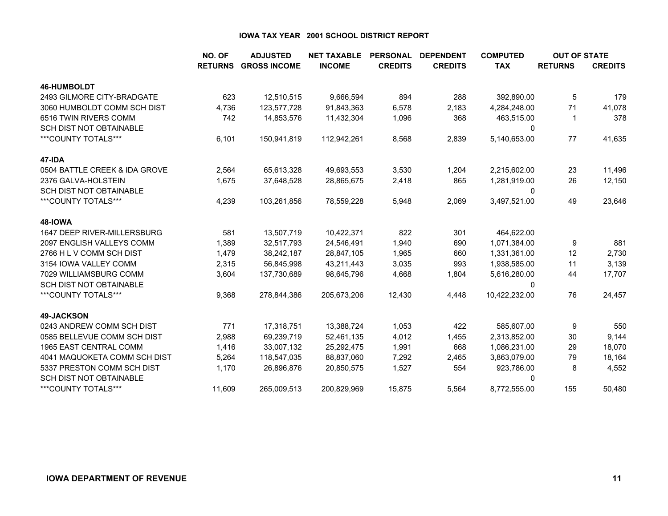|                                | NO. OF         | <b>ADJUSTED</b>     | <b>NET TAXABLE</b> | <b>PERSONAL</b> | <b>DEPENDENT</b> | <b>COMPUTED</b> | <b>OUT OF STATE</b> |                |
|--------------------------------|----------------|---------------------|--------------------|-----------------|------------------|-----------------|---------------------|----------------|
|                                | <b>RETURNS</b> | <b>GROSS INCOME</b> | <b>INCOME</b>      | <b>CREDITS</b>  | <b>CREDITS</b>   | <b>TAX</b>      | <b>RETURNS</b>      | <b>CREDITS</b> |
| <b>46-HUMBOLDT</b>             |                |                     |                    |                 |                  |                 |                     |                |
| 2493 GILMORE CITY-BRADGATE     | 623            | 12,510,515          | 9,666,594          | 894             | 288              | 392,890.00      | 5                   | 179            |
| 3060 HUMBOLDT COMM SCH DIST    | 4,736          | 123,577,728         | 91,843,363         | 6,578           | 2,183            | 4,284,248.00    | 71                  | 41,078         |
| 6516 TWIN RIVERS COMM          | 742            | 14,853,576          | 11,432,304         | 1,096           | 368              | 463,515.00      |                     | 378            |
| <b>SCH DIST NOT OBTAINABLE</b> |                |                     |                    |                 |                  | 0               |                     |                |
| ***COUNTY TOTALS***            | 6,101          | 150,941,819         | 112,942,261        | 8,568           | 2,839            | 5,140,653.00    | 77                  | 41,635         |
| 47-IDA                         |                |                     |                    |                 |                  |                 |                     |                |
| 0504 BATTLE CREEK & IDA GROVE  | 2,564          | 65,613,328          | 49,693,553         | 3,530           | 1,204            | 2,215,602.00    | 23                  | 11,496         |
| 2376 GALVA-HOLSTEIN            | 1,675          | 37,648,528          | 28,865,675         | 2,418           | 865              | 1,281,919.00    | 26                  | 12,150         |
| <b>SCH DIST NOT OBTAINABLE</b> |                |                     |                    |                 |                  | 0               |                     |                |
| ***COUNTY TOTALS***            | 4,239          | 103,261,856         | 78,559,228         | 5,948           | 2,069            | 3,497,521.00    | 49                  | 23,646         |
| 48-IOWA                        |                |                     |                    |                 |                  |                 |                     |                |
| 1647 DEEP RIVER-MILLERSBURG    | 581            | 13,507,719          | 10,422,371         | 822             | 301              | 464,622.00      |                     |                |
| 2097 ENGLISH VALLEYS COMM      | 1,389          | 32,517,793          | 24,546,491         | 1,940           | 690              | 1,071,384.00    | 9                   | 881            |
| 2766 H L V COMM SCH DIST       | 1,479          | 38,242,187          | 28,847,105         | 1,965           | 660              | 1,331,361.00    | 12                  | 2,730          |
| 3154 IOWA VALLEY COMM          | 2,315          | 56,845,998          | 43,211,443         | 3,035           | 993              | 1,938,585.00    | 11                  | 3,139          |
| 7029 WILLIAMSBURG COMM         | 3,604          | 137,730,689         | 98,645,796         | 4,668           | 1,804            | 5,616,280.00    | 44                  | 17,707         |
| <b>SCH DIST NOT OBTAINABLE</b> |                |                     |                    |                 |                  | 0               |                     |                |
| ***COUNTY TOTALS***            | 9,368          | 278,844,386         | 205,673,206        | 12,430          | 4,448            | 10,422,232.00   | 76                  | 24,457         |
| <b>49-JACKSON</b>              |                |                     |                    |                 |                  |                 |                     |                |
| 0243 ANDREW COMM SCH DIST      | 771            | 17,318,751          | 13,388,724         | 1,053           | 422              | 585,607.00      | 9                   | 550            |
| 0585 BELLEVUE COMM SCH DIST    | 2,988          | 69,239,719          | 52,461,135         | 4,012           | 1,455            | 2,313,852.00    | 30                  | 9,144          |
| 1965 EAST CENTRAL COMM         | 1,416          | 33,007,132          | 25,292,475         | 1,991           | 668              | 1,086,231.00    | 29                  | 18,070         |
| 4041 MAQUOKETA COMM SCH DIST   | 5,264          | 118,547,035         | 88,837,060         | 7,292           | 2,465            | 3,863,079.00    | 79                  | 18,164         |
| 5337 PRESTON COMM SCH DIST     | 1,170          | 26,896,876          | 20,850,575         | 1,527           | 554              | 923,786.00      | 8                   | 4,552          |
| <b>SCH DIST NOT OBTAINABLE</b> |                |                     |                    |                 |                  | 0               |                     |                |
| ***COUNTY TOTALS***            | 11,609         | 265,009,513         | 200,829,969        | 15,875          | 5,564            | 8,772,555.00    | 155                 | 50,480         |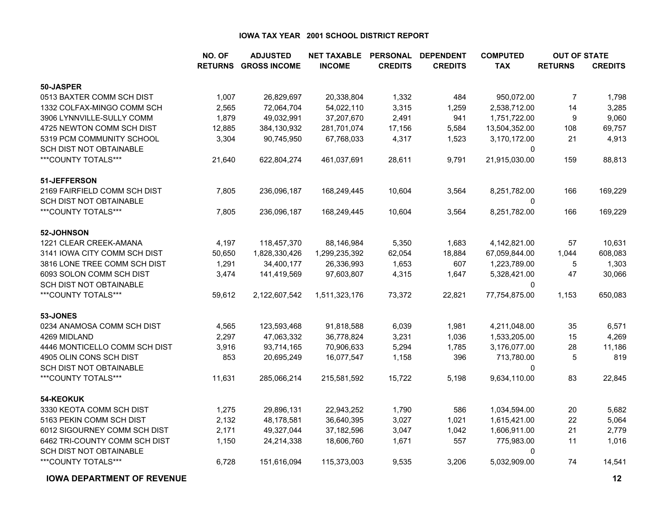|                               | NO. OF | <b>ADJUSTED</b>             | <b>NET TAXABLE</b> | <b>PERSONAL</b> | <b>DEPENDENT</b> | <b>COMPUTED</b> | <b>OUT OF STATE</b> |                |
|-------------------------------|--------|-----------------------------|--------------------|-----------------|------------------|-----------------|---------------------|----------------|
|                               |        | <b>RETURNS GROSS INCOME</b> | <b>INCOME</b>      | <b>CREDITS</b>  | <b>CREDITS</b>   | <b>TAX</b>      | <b>RETURNS</b>      | <b>CREDITS</b> |
| 50-JASPER                     |        |                             |                    |                 |                  |                 |                     |                |
| 0513 BAXTER COMM SCH DIST     | 1,007  | 26,829,697                  | 20,338,804         | 1,332           | 484              | 950,072.00      | 7                   | 1,798          |
| 1332 COLFAX-MINGO COMM SCH    | 2,565  | 72,064,704                  | 54,022,110         | 3,315           | 1,259            | 2,538,712.00    | 14                  | 3,285          |
| 3906 LYNNVILLE-SULLY COMM     | 1,879  | 49,032,991                  | 37,207,670         | 2,491           | 941              | 1,751,722.00    | $\boldsymbol{9}$    | 9,060          |
| 4725 NEWTON COMM SCH DIST     | 12,885 | 384,130,932                 | 281,701,074        | 17,156          | 5,584            | 13,504,352.00   | 108                 | 69,757         |
| 5319 PCM COMMUNITY SCHOOL     | 3,304  | 90,745,950                  | 67,768,033         | 4,317           | 1,523            | 3,170,172.00    | 21                  | 4,913          |
| SCH DIST NOT OBTAINABLE       |        |                             |                    |                 |                  | $\Omega$        |                     |                |
| ***COUNTY TOTALS***           | 21,640 | 622,804,274                 | 461,037,691        | 28,611          | 9,791            | 21,915,030.00   | 159                 | 88,813         |
| 51-JEFFERSON                  |        |                             |                    |                 |                  |                 |                     |                |
| 2169 FAIRFIELD COMM SCH DIST  | 7,805  | 236,096,187                 | 168,249,445        | 10,604          | 3,564            | 8,251,782.00    | 166                 | 169,229        |
| SCH DIST NOT OBTAINABLE       |        |                             |                    |                 |                  | 0               |                     |                |
| ***COUNTY TOTALS***           | 7,805  | 236,096,187                 | 168,249,445        | 10,604          | 3,564            | 8,251,782.00    | 166                 | 169,229        |
| 52-JOHNSON                    |        |                             |                    |                 |                  |                 |                     |                |
| 1221 CLEAR CREEK-AMANA        | 4,197  | 118,457,370                 | 88,146,984         | 5,350           | 1,683            | 4,142,821.00    | 57                  | 10,631         |
| 3141 IOWA CITY COMM SCH DIST  | 50,650 | 1,828,330,426               | 1,299,235,392      | 62,054          | 18,884           | 67,059,844.00   | 1,044               | 608,083        |
| 3816 LONE TREE COMM SCH DIST  | 1,291  | 34,400,177                  | 26,336,993         | 1,653           | 607              | 1,223,789.00    | 5                   | 1,303          |
| 6093 SOLON COMM SCH DIST      | 3,474  | 141,419,569                 | 97,603,807         | 4,315           | 1,647            | 5,328,421.00    | 47                  | 30,066         |
| SCH DIST NOT OBTAINABLE       |        |                             |                    |                 |                  | $\Omega$        |                     |                |
| ***COUNTY TOTALS***           | 59,612 | 2,122,607,542               | 1,511,323,176      | 73,372          | 22,821           | 77,754,875.00   | 1,153               | 650,083        |
| 53-JONES                      |        |                             |                    |                 |                  |                 |                     |                |
| 0234 ANAMOSA COMM SCH DIST    | 4,565  | 123,593,468                 | 91,818,588         | 6,039           | 1,981            | 4,211,048.00    | 35                  | 6,571          |
| 4269 MIDLAND                  | 2,297  | 47,063,332                  | 36,778,824         | 3,231           | 1,036            | 1,533,205.00    | 15                  | 4,269          |
| 4446 MONTICELLO COMM SCH DIST | 3,916  | 93,714,165                  | 70,906,633         | 5,294           | 1,785            | 3,176,077.00    | 28                  | 11,186         |
| 4905 OLIN CONS SCH DIST       | 853    | 20,695,249                  | 16,077,547         | 1,158           | 396              | 713,780.00      | 5                   | 819            |
| SCH DIST NOT OBTAINABLE       |        |                             |                    |                 |                  | 0               |                     |                |
| ***COUNTY TOTALS***           | 11,631 | 285,066,214                 | 215,581,592        | 15,722          | 5,198            | 9,634,110.00    | 83                  | 22,845         |
| 54-KEOKUK                     |        |                             |                    |                 |                  |                 |                     |                |
| 3330 KEOTA COMM SCH DIST      | 1,275  | 29,896,131                  | 22,943,252         | 1,790           | 586              | 1,034,594.00    | 20                  | 5,682          |
| 5163 PEKIN COMM SCH DIST      | 2,132  | 48,178,581                  | 36,640,395         | 3,027           | 1,021            | 1,615,421.00    | 22                  | 5,064          |
| 6012 SIGOURNEY COMM SCH DIST  | 2,171  | 49,327,044                  | 37,182,596         | 3,047           | 1,042            | 1,606,911.00    | 21                  | 2,779          |
| 6462 TRI-COUNTY COMM SCH DIST | 1,150  | 24,214,338                  | 18,606,760         | 1,671           | 557              | 775,983.00      | 11                  | 1,016          |
| SCH DIST NOT OBTAINABLE       |        |                             |                    |                 |                  | $\Omega$        |                     |                |
| ***COUNTY TOTALS***           | 6,728  | 151,616,094                 | 115,373,003        | 9,535           | 3,206            | 5,032,909.00    | 74                  | 14,541         |

**IOWA DEPARTMENT OF REVENUE**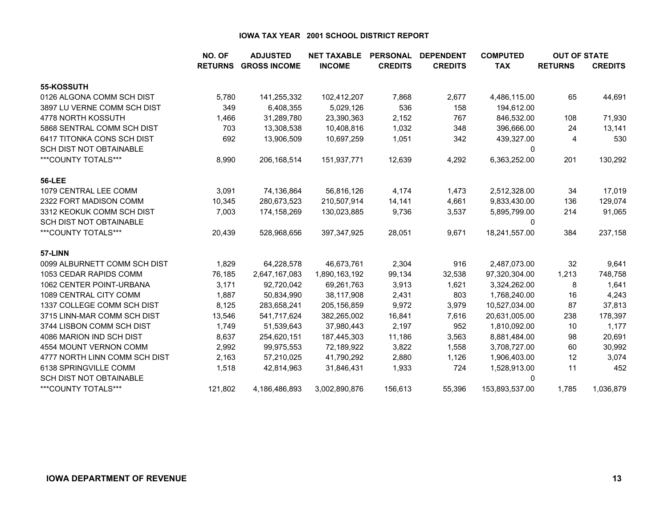|                                | NO. OF         | <b>ADJUSTED</b>     | <b>NET TAXABLE</b> | <b>PERSONAL</b> | <b>DEPENDENT</b> | <b>COMPUTED</b> | <b>OUT OF STATE</b> |                |
|--------------------------------|----------------|---------------------|--------------------|-----------------|------------------|-----------------|---------------------|----------------|
|                                | <b>RETURNS</b> | <b>GROSS INCOME</b> | <b>INCOME</b>      | <b>CREDITS</b>  | <b>CREDITS</b>   | <b>TAX</b>      | <b>RETURNS</b>      | <b>CREDITS</b> |
| 55-KOSSUTH                     |                |                     |                    |                 |                  |                 |                     |                |
| 0126 ALGONA COMM SCH DIST      | 5,780          | 141,255,332         | 102,412,207        | 7,868           | 2,677            | 4,486,115.00    | 65                  | 44,691         |
| 3897 LU VERNE COMM SCH DIST    | 349            | 6,408,355           | 5,029,126          | 536             | 158              | 194,612.00      |                     |                |
| 4778 NORTH KOSSUTH             | 1,466          | 31,289,780          | 23,390,363         | 2,152           | 767              | 846,532.00      | 108                 | 71,930         |
| 5868 SENTRAL COMM SCH DIST     | 703            | 13,308,538          | 10,408,816         | 1,032           | 348              | 396,666.00      | 24                  | 13,141         |
| 6417 TITONKA CONS SCH DIST     | 692            | 13,906,509          | 10,697,259         | 1,051           | 342              | 439,327.00      | 4                   | 530            |
| <b>SCH DIST NOT OBTAINABLE</b> |                |                     |                    |                 |                  | 0               |                     |                |
| ***COUNTY TOTALS***            | 8,990          | 206,168,514         | 151,937,771        | 12,639          | 4,292            | 6,363,252.00    | 201                 | 130,292        |
| <b>56-LEE</b>                  |                |                     |                    |                 |                  |                 |                     |                |
| 1079 CENTRAL LEE COMM          | 3,091          | 74,136,864          | 56,816,126         | 4,174           | 1,473            | 2,512,328.00    | 34                  | 17,019         |
| 2322 FORT MADISON COMM         | 10,345         | 280,673,523         | 210,507,914        | 14,141          | 4,661            | 9,833,430.00    | 136                 | 129,074        |
| 3312 KEOKUK COMM SCH DIST      | 7,003          | 174,158,269         | 130,023,885        | 9,736           | 3,537            | 5,895,799.00    | 214                 | 91,065         |
| <b>SCH DIST NOT OBTAINABLE</b> |                |                     |                    |                 |                  | $\Omega$        |                     |                |
| ***COUNTY TOTALS***            | 20,439         | 528,968,656         | 397, 347, 925      | 28,051          | 9,671            | 18,241,557.00   | 384                 | 237,158        |
| 57-LINN                        |                |                     |                    |                 |                  |                 |                     |                |
| 0099 ALBURNETT COMM SCH DIST   | 1,829          | 64,228,578          | 46,673,761         | 2,304           | 916              | 2,487,073.00    | 32                  | 9,641          |
| 1053 CEDAR RAPIDS COMM         | 76,185         | 2,647,167,083       | 1,890,163,192      | 99,134          | 32,538           | 97,320,304.00   | 1,213               | 748,758        |
| 1062 CENTER POINT-URBANA       | 3,171          | 92,720,042          | 69,261,763         | 3,913           | 1,621            | 3,324,262.00    | 8                   | 1,641          |
| 1089 CENTRAL CITY COMM         | 1,887          | 50,834,990          | 38,117,908         | 2,431           | 803              | 1,768,240.00    | 16                  | 4,243          |
| 1337 COLLEGE COMM SCH DIST     | 8,125          | 283,658,241         | 205, 156, 859      | 9,972           | 3,979            | 10,527,034.00   | 87                  | 37,813         |
| 3715 LINN-MAR COMM SCH DIST    | 13,546         | 541,717,624         | 382,265,002        | 16,841          | 7,616            | 20,631,005.00   | 238                 | 178,397        |
| 3744 LISBON COMM SCH DIST      | 1,749          | 51,539,643          | 37,980,443         | 2,197           | 952              | 1,810,092.00    | 10                  | 1,177          |
| 4086 MARION IND SCH DIST       | 8,637          | 254,620,151         | 187,445,303        | 11,186          | 3,563            | 8,881,484.00    | 98                  | 20,691         |
| 4554 MOUNT VERNON COMM         | 2,992          | 99,975,553          | 72,189,922         | 3,822           | 1,558            | 3,708,727.00    | 60                  | 30,992         |
| 4777 NORTH LINN COMM SCH DIST  | 2,163          | 57,210,025          | 41,790,292         | 2,880           | 1,126            | 1,906,403.00    | 12                  | 3,074          |
| 6138 SPRINGVILLE COMM          | 1,518          | 42,814,963          | 31,846,431         | 1,933           | 724              | 1,528,913.00    | 11                  | 452            |
| <b>SCH DIST NOT OBTAINABLE</b> |                |                     |                    |                 |                  | 0               |                     |                |
| ***COUNTY TOTALS***            | 121,802        | 4,186,486,893       | 3,002,890,876      | 156,613         | 55,396           | 153,893,537.00  | 1,785               | 1,036,879      |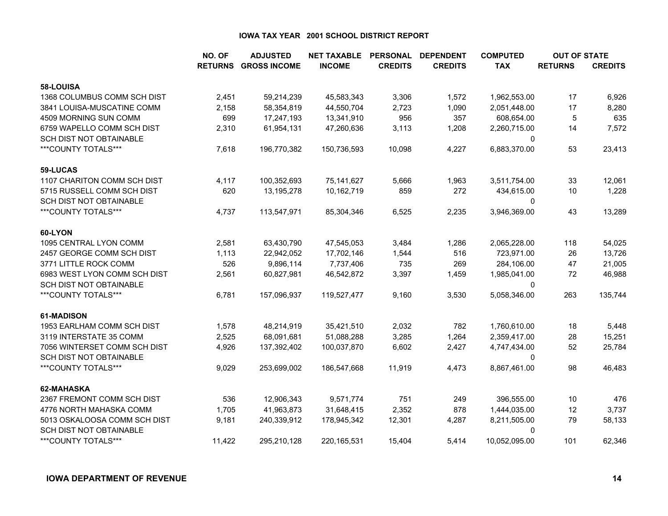|                                | NO. OF         | <b>ADJUSTED</b>     | <b>NET TAXABLE</b> | <b>PERSONAL</b> | <b>DEPENDENT</b> | <b>COMPUTED</b> | <b>OUT OF STATE</b> |                |
|--------------------------------|----------------|---------------------|--------------------|-----------------|------------------|-----------------|---------------------|----------------|
|                                | <b>RETURNS</b> | <b>GROSS INCOME</b> | <b>INCOME</b>      | <b>CREDITS</b>  | <b>CREDITS</b>   | <b>TAX</b>      | <b>RETURNS</b>      | <b>CREDITS</b> |
| 58-LOUISA                      |                |                     |                    |                 |                  |                 |                     |                |
| 1368 COLUMBUS COMM SCH DIST    | 2,451          | 59,214,239          | 45,583,343         | 3,306           | 1,572            | 1,962,553.00    | 17                  | 6,926          |
| 3841 LOUISA-MUSCATINE COMM     | 2,158          | 58,354,819          | 44,550,704         | 2,723           | 1,090            | 2,051,448.00    | 17                  | 8,280          |
| 4509 MORNING SUN COMM          | 699            | 17,247,193          | 13,341,910         | 956             | 357              | 608,654.00      | 5                   | 635            |
| 6759 WAPELLO COMM SCH DIST     | 2,310          | 61,954,131          | 47,260,636         | 3,113           | 1,208            | 2,260,715.00    | 14                  | 7,572          |
| <b>SCH DIST NOT OBTAINABLE</b> |                |                     |                    |                 |                  | 0               |                     |                |
| ***COUNTY TOTALS***            | 7,618          | 196,770,382         | 150,736,593        | 10,098          | 4,227            | 6,883,370.00    | 53                  | 23,413         |
| 59-LUCAS                       |                |                     |                    |                 |                  |                 |                     |                |
| 1107 CHARITON COMM SCH DIST    | 4,117          | 100,352,693         | 75,141,627         | 5,666           | 1,963            | 3,511,754.00    | 33                  | 12,061         |
| 5715 RUSSELL COMM SCH DIST     | 620            | 13,195,278          | 10,162,719         | 859             | 272              | 434,615.00      | 10                  | 1,228          |
| SCH DIST NOT OBTAINABLE        |                |                     |                    |                 |                  | 0               |                     |                |
| ***COUNTY TOTALS***            | 4,737          | 113,547,971         | 85,304,346         | 6,525           | 2,235            | 3,946,369.00    | 43                  | 13,289         |
| 60-LYON                        |                |                     |                    |                 |                  |                 |                     |                |
| 1095 CENTRAL LYON COMM         | 2,581          | 63,430,790          | 47,545,053         | 3,484           | 1,286            | 2,065,228.00    | 118                 | 54,025         |
| 2457 GEORGE COMM SCH DIST      | 1,113          | 22,942,052          | 17,702,146         | 1,544           | 516              | 723,971.00      | 26                  | 13,726         |
| 3771 LITTLE ROCK COMM          | 526            | 9,896,114           | 7,737,406          | 735             | 269              | 284,106.00      | 47                  | 21,005         |
| 6983 WEST LYON COMM SCH DIST   | 2,561          | 60,827,981          | 46,542,872         | 3,397           | 1,459            | 1,985,041.00    | 72                  | 46,988         |
| <b>SCH DIST NOT OBTAINABLE</b> |                |                     |                    |                 |                  | 0               |                     |                |
| ***COUNTY TOTALS***            | 6,781          | 157,096,937         | 119,527,477        | 9,160           | 3,530            | 5,058,346.00    | 263                 | 135,744        |
| 61-MADISON                     |                |                     |                    |                 |                  |                 |                     |                |
| 1953 EARLHAM COMM SCH DIST     | 1,578          | 48,214,919          | 35,421,510         | 2,032           | 782              | 1,760,610.00    | 18                  | 5,448          |
| 3119 INTERSTATE 35 COMM        | 2,525          | 68,091,681          | 51,088,288         | 3,285           | 1,264            | 2,359,417.00    | 28                  | 15,251         |
| 7056 WINTERSET COMM SCH DIST   | 4,926          | 137,392,402         | 100,037,870        | 6,602           | 2,427            | 4,747,434.00    | 52                  | 25,784         |
| SCH DIST NOT OBTAINABLE        |                |                     |                    |                 |                  | 0               |                     |                |
| ***COUNTY TOTALS***            | 9,029          | 253,699,002         | 186,547,668        | 11,919          | 4,473            | 8,867,461.00    | 98                  | 46,483         |
| 62-MAHASKA                     |                |                     |                    |                 |                  |                 |                     |                |
| 2367 FREMONT COMM SCH DIST     | 536            | 12,906,343          | 9,571,774          | 751             | 249              | 396,555.00      | 10                  | 476            |
| 4776 NORTH MAHASKA COMM        | 1,705          | 41,963,873          | 31,648,415         | 2,352           | 878              | 1,444,035.00    | 12                  | 3,737          |
| 5013 OSKALOOSA COMM SCH DIST   | 9,181          | 240,339,912         | 178,945,342        | 12,301          | 4,287            | 8,211,505.00    | 79                  | 58,133         |
| SCH DIST NOT OBTAINABLE        |                |                     |                    |                 |                  | 0               |                     |                |
| ***COUNTY TOTALS***            | 11,422         | 295,210,128         | 220, 165, 531      | 15,404          | 5,414            | 10,052,095.00   | 101                 | 62,346         |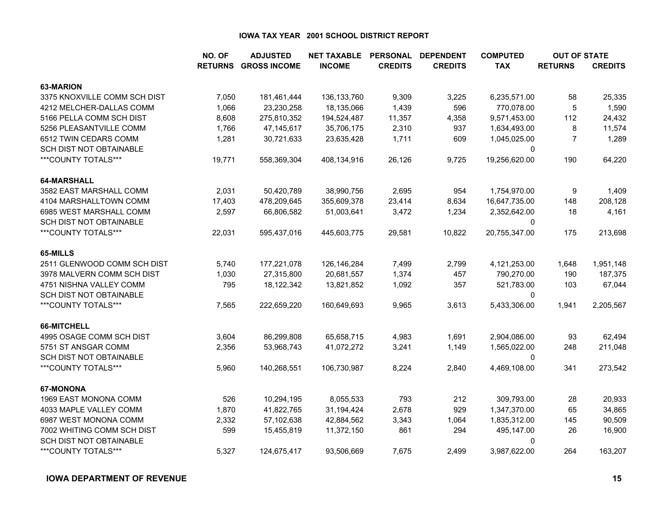|                                | NO. OF         | <b>ADJUSTED</b>     | <b>NET TAXABLE</b> | <b>PERSONAL</b> | <b>DEPENDENT</b> | <b>COMPUTED</b> | <b>OUT OF STATE</b> |                |
|--------------------------------|----------------|---------------------|--------------------|-----------------|------------------|-----------------|---------------------|----------------|
|                                | <b>RETURNS</b> | <b>GROSS INCOME</b> | <b>INCOME</b>      | <b>CREDITS</b>  | <b>CREDITS</b>   | <b>TAX</b>      | <b>RETURNS</b>      | <b>CREDITS</b> |
| 63-MARION                      |                |                     |                    |                 |                  |                 |                     |                |
| 3375 KNOXVILLE COMM SCH DIST   | 7,050          | 181,461,444         | 136, 133, 760      | 9,309           | 3,225            | 6,235,571.00    | 58                  | 25,335         |
| 4212 MELCHER-DALLAS COMM       | 1,066          | 23,230,258          | 18,135,066         | 1,439           | 596              | 770,078.00      | 5                   | 1,590          |
| 5166 PELLA COMM SCH DIST       | 8,608          | 275,810,352         | 194,524,487        | 11,357          | 4,358            | 9,571,453.00    | 112                 | 24,432         |
| 5256 PLEASANTVILLE COMM        | 1,766          | 47,145,617          | 35,706,175         | 2,310           | 937              | 1,634,493.00    | 8                   | 11,574         |
| 6512 TWIN CEDARS COMM          | 1,281          | 30,721,633          | 23,635,428         | 1,711           | 609              | 1,045,025.00    | $\overline{7}$      | 1,289          |
| SCH DIST NOT OBTAINABLE        |                |                     |                    |                 |                  | 0               |                     |                |
| ***COUNTY TOTALS***            | 19,771         | 558,369,304         | 408,134,916        | 26,126          | 9,725            | 19,256,620.00   | 190                 | 64,220         |
| 64-MARSHALL                    |                |                     |                    |                 |                  |                 |                     |                |
| 3582 EAST MARSHALL COMM        | 2,031          | 50,420,789          | 38,990,756         | 2,695           | 954              | 1,754,970.00    | 9                   | 1,409          |
| 4104 MARSHALLTOWN COMM         | 17,403         | 478,209,645         | 355,609,378        | 23,414          | 8,634            | 16,647,735.00   | 148                 | 208,128        |
| 6985 WEST MARSHALL COMM        | 2,597          | 66,806,582          | 51,003,641         | 3,472           | 1,234            | 2,352,642.00    | 18                  | 4,161          |
| <b>SCH DIST NOT OBTAINABLE</b> |                |                     |                    |                 |                  | $\mathbf{0}$    |                     |                |
| ***COUNTY TOTALS***            | 22,031         | 595,437,016         | 445,603,775        | 29,581          | 10,822           | 20,755,347.00   | 175                 | 213,698        |
| 65-MILLS                       |                |                     |                    |                 |                  |                 |                     |                |
| 2511 GLENWOOD COMM SCH DIST    | 5,740          | 177,221,078         | 126,146,284        | 7,499           | 2,799            | 4,121,253.00    | 1,648               | 1,951,148      |
| 3978 MALVERN COMM SCH DIST     | 1,030          | 27,315,800          | 20,681,557         | 1,374           | 457              | 790,270.00      | 190                 | 187,375        |
| 4751 NISHNA VALLEY COMM        | 795            | 18,122,342          | 13,821,852         | 1,092           | 357              | 521,783.00      | 103                 | 67,044         |
| <b>SCH DIST NOT OBTAINABLE</b> |                |                     |                    |                 |                  | 0               |                     |                |
| ***COUNTY TOTALS***            | 7,565          | 222,659,220         | 160,649,693        | 9,965           | 3,613            | 5,433,306.00    | 1,941               | 2,205,567      |
| 66-MITCHELL                    |                |                     |                    |                 |                  |                 |                     |                |
| 4995 OSAGE COMM SCH DIST       | 3,604          | 86,299,808          | 65,658,715         | 4,983           | 1,691            | 2,904,086.00    | 93                  | 62,494         |
| 5751 ST ANSGAR COMM            | 2,356          | 53,968,743          | 41,072,272         | 3,241           | 1,149            | 1,565,022.00    | 248                 | 211,048        |
| SCH DIST NOT OBTAINABLE        |                |                     |                    |                 |                  | $\mathbf{0}$    |                     |                |
| ***COUNTY TOTALS***            | 5,960          | 140,268,551         | 106,730,987        | 8,224           | 2,840            | 4,469,108.00    | 341                 | 273,542        |
| 67-MONONA                      |                |                     |                    |                 |                  |                 |                     |                |
| 1969 EAST MONONA COMM          | 526            | 10,294,195          | 8,055,533          | 793             | 212              | 309,793.00      | 28                  | 20,933         |
| 4033 MAPLE VALLEY COMM         | 1,870          | 41,822,765          | 31,194,424         | 2,678           | 929              | 1,347,370.00    | 65                  | 34,865         |
| 6987 WEST MONONA COMM          | 2,332          | 57,102,638          | 42,884,562         | 3,343           | 1,064            | 1,835,312.00    | 145                 | 90,509         |
| 7002 WHITING COMM SCH DIST     | 599            | 15,455,819          | 11,372,150         | 861             | 294              | 495,147.00      | 26                  | 16,900         |
| SCH DIST NOT OBTAINABLE        |                |                     |                    |                 |                  | $\mathbf 0$     |                     |                |
| ***COUNTY TOTALS***            | 5,327          | 124,675,417         | 93,506,669         | 7,675           | 2,499            | 3,987,622.00    | 264                 | 163,207        |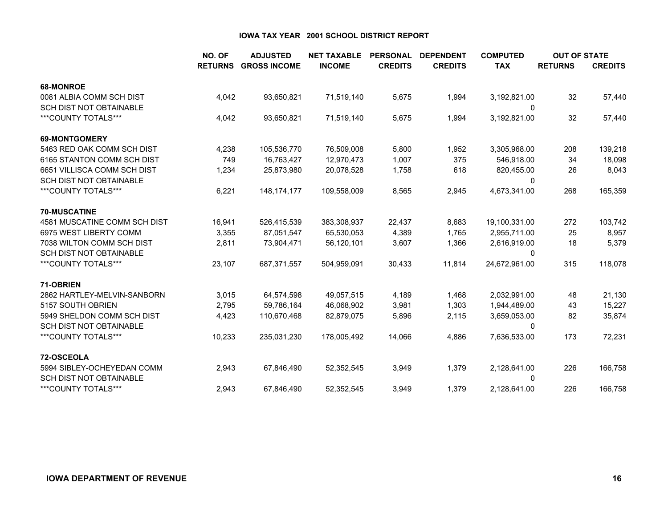|                                | NO. OF         | <b>ADJUSTED</b>     | <b>NET TAXABLE</b> | <b>PERSONAL</b> | <b>DEPENDENT</b> | <b>COMPUTED</b> | <b>OUT OF STATE</b> |                |
|--------------------------------|----------------|---------------------|--------------------|-----------------|------------------|-----------------|---------------------|----------------|
|                                | <b>RETURNS</b> | <b>GROSS INCOME</b> | <b>INCOME</b>      | <b>CREDITS</b>  | <b>CREDITS</b>   | <b>TAX</b>      | <b>RETURNS</b>      | <b>CREDITS</b> |
| 68-MONROE                      |                |                     |                    |                 |                  |                 |                     |                |
| 0081 ALBIA COMM SCH DIST       | 4,042          | 93,650,821          | 71,519,140         | 5,675           | 1,994            | 3,192,821.00    | 32                  | 57,440         |
| <b>SCH DIST NOT OBTAINABLE</b> |                |                     |                    |                 |                  | 0               |                     |                |
| ***COUNTY TOTALS***            | 4,042          | 93,650,821          | 71,519,140         | 5,675           | 1,994            | 3,192,821.00    | 32                  | 57,440         |
| <b>69-MONTGOMERY</b>           |                |                     |                    |                 |                  |                 |                     |                |
| 5463 RED OAK COMM SCH DIST     | 4,238          | 105,536,770         | 76,509,008         | 5,800           | 1,952            | 3,305,968.00    | 208                 | 139,218        |
| 6165 STANTON COMM SCH DIST     | 749            | 16,763,427          | 12,970,473         | 1,007           | 375              | 546,918.00      | 34                  | 18,098         |
| 6651 VILLISCA COMM SCH DIST    | 1,234          | 25,873,980          | 20,078,528         | 1,758           | 618              | 820,455.00      | 26                  | 8,043          |
| <b>SCH DIST NOT OBTAINABLE</b> |                |                     |                    |                 |                  | 0               |                     |                |
| ***COUNTY TOTALS***            | 6,221          | 148, 174, 177       | 109,558,009        | 8,565           | 2,945            | 4,673,341.00    | 268                 | 165,359        |
| <b>70-MUSCATINE</b>            |                |                     |                    |                 |                  |                 |                     |                |
| 4581 MUSCATINE COMM SCH DIST   | 16,941         | 526,415,539         | 383,308,937        | 22,437          | 8,683            | 19,100,331.00   | 272                 | 103,742        |
| 6975 WEST LIBERTY COMM         | 3,355          | 87,051,547          | 65,530,053         | 4,389           | 1,765            | 2,955,711.00    | 25                  | 8,957          |
| 7038 WILTON COMM SCH DIST      | 2,811          | 73,904,471          | 56,120,101         | 3,607           | 1,366            | 2,616,919.00    | 18                  | 5,379          |
| <b>SCH DIST NOT OBTAINABLE</b> |                |                     |                    |                 |                  | 0               |                     |                |
| ***COUNTY TOTALS***            | 23,107         | 687,371,557         | 504,959,091        | 30,433          | 11,814           | 24,672,961.00   | 315                 | 118,078        |
| 71-OBRIEN                      |                |                     |                    |                 |                  |                 |                     |                |
| 2862 HARTLEY-MELVIN-SANBORN    | 3,015          | 64,574,598          | 49,057,515         | 4,189           | 1,468            | 2,032,991.00    | 48                  | 21,130         |
| 5157 SOUTH OBRIEN              | 2,795          | 59,786,164          | 46,068,902         | 3,981           | 1,303            | 1,944,489.00    | 43                  | 15,227         |
| 5949 SHELDON COMM SCH DIST     | 4,423          | 110,670,468         | 82,879,075         | 5,896           | 2,115            | 3,659,053.00    | 82                  | 35,874         |
| <b>SCH DIST NOT OBTAINABLE</b> |                |                     |                    |                 |                  | 0               |                     |                |
| ***COUNTY TOTALS***            | 10,233         | 235,031,230         | 178,005,492        | 14,066          | 4,886            | 7,636,533.00    | 173                 | 72,231         |
| 72-OSCEOLA                     |                |                     |                    |                 |                  |                 |                     |                |
| 5994 SIBLEY-OCHEYEDAN COMM     | 2,943          | 67,846,490          | 52,352,545         | 3,949           | 1,379            | 2,128,641.00    | 226                 | 166,758        |
| <b>SCH DIST NOT OBTAINABLE</b> |                |                     |                    |                 |                  | 0               |                     |                |
| ***COUNTY TOTALS***            | 2,943          | 67,846,490          | 52,352,545         | 3,949           | 1,379            | 2,128,641.00    | 226                 | 166,758        |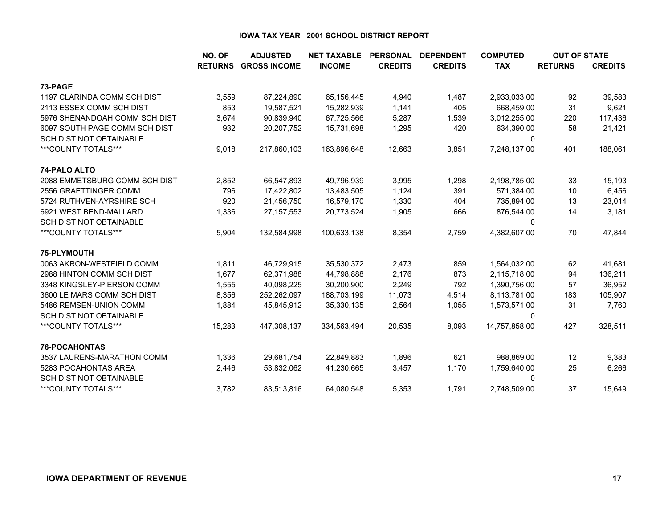|                                | NO. OF         | <b>ADJUSTED</b>     | <b>NET TAXABLE</b> | <b>PERSONAL</b> | <b>DEPENDENT</b> | <b>COMPUTED</b> | <b>OUT OF STATE</b> |                |
|--------------------------------|----------------|---------------------|--------------------|-----------------|------------------|-----------------|---------------------|----------------|
|                                | <b>RETURNS</b> | <b>GROSS INCOME</b> | <b>INCOME</b>      | <b>CREDITS</b>  | <b>CREDITS</b>   | <b>TAX</b>      | <b>RETURNS</b>      | <b>CREDITS</b> |
| 73-PAGE                        |                |                     |                    |                 |                  |                 |                     |                |
| 1197 CLARINDA COMM SCH DIST    | 3,559          | 87,224,890          | 65,156,445         | 4,940           | 1,487            | 2,933,033.00    | 92                  | 39,583         |
| 2113 ESSEX COMM SCH DIST       | 853            | 19,587,521          | 15,282,939         | 1,141           | 405              | 668,459.00      | 31                  | 9,621          |
| 5976 SHENANDOAH COMM SCH DIST  | 3,674          | 90,839,940          | 67,725,566         | 5,287           | 1,539            | 3,012,255.00    | 220                 | 117,436        |
| 6097 SOUTH PAGE COMM SCH DIST  | 932            | 20,207,752          | 15,731,698         | 1,295           | 420              | 634,390.00      | 58                  | 21,421         |
| <b>SCH DIST NOT OBTAINABLE</b> |                |                     |                    |                 |                  | 0               |                     |                |
| ***COUNTY TOTALS***            | 9,018          | 217,860,103         | 163,896,648        | 12,663          | 3,851            | 7,248,137.00    | 401                 | 188,061        |
| 74-PALO ALTO                   |                |                     |                    |                 |                  |                 |                     |                |
| 2088 EMMETSBURG COMM SCH DIST  | 2,852          | 66,547,893          | 49,796,939         | 3,995           | 1,298            | 2,198,785.00    | 33                  | 15,193         |
| 2556 GRAETTINGER COMM          | 796            | 17,422,802          | 13,483,505         | 1,124           | 391              | 571,384.00      | 10                  | 6,456          |
| 5724 RUTHVEN-AYRSHIRE SCH      | 920            | 21,456,750          | 16,579,170         | 1,330           | 404              | 735,894.00      | 13                  | 23,014         |
| 6921 WEST BEND-MALLARD         | 1,336          | 27, 157, 553        | 20,773,524         | 1,905           | 666              | 876,544.00      | 14                  | 3,181          |
| <b>SCH DIST NOT OBTAINABLE</b> |                |                     |                    |                 |                  | 0               |                     |                |
| ***COUNTY TOTALS***            | 5,904          | 132,584,998         | 100,633,138        | 8,354           | 2,759            | 4,382,607.00    | 70                  | 47,844         |
| 75-PLYMOUTH                    |                |                     |                    |                 |                  |                 |                     |                |
| 0063 AKRON-WESTFIELD COMM      | 1,811          | 46,729,915          | 35,530,372         | 2,473           | 859              | 1,564,032.00    | 62                  | 41,681         |
| 2988 HINTON COMM SCH DIST      | 1,677          | 62,371,988          | 44,798,888         | 2,176           | 873              | 2,115,718.00    | 94                  | 136,211        |
| 3348 KINGSLEY-PIERSON COMM     | 1,555          | 40,098,225          | 30,200,900         | 2,249           | 792              | 1,390,756.00    | 57                  | 36,952         |
| 3600 LE MARS COMM SCH DIST     | 8,356          | 252,262,097         | 188,703,199        | 11,073          | 4,514            | 8,113,781.00    | 183                 | 105,907        |
| 5486 REMSEN-UNION COMM         | 1,884          | 45,845,912          | 35,330,135         | 2,564           | 1,055            | 1,573,571.00    | 31                  | 7,760          |
| <b>SCH DIST NOT OBTAINABLE</b> |                |                     |                    |                 |                  | 0               |                     |                |
| ***COUNTY TOTALS***            | 15,283         | 447,308,137         | 334,563,494        | 20,535          | 8,093            | 14,757,858.00   | 427                 | 328,511        |
| <b>76-POCAHONTAS</b>           |                |                     |                    |                 |                  |                 |                     |                |
| 3537 LAURENS-MARATHON COMM     | 1,336          | 29,681,754          | 22,849,883         | 1,896           | 621              | 988,869.00      | 12                  | 9,383          |
| 5283 POCAHONTAS AREA           | 2,446          | 53,832,062          | 41,230,665         | 3,457           | 1,170            | 1,759,640.00    | 25                  | 6,266          |
| <b>SCH DIST NOT OBTAINABLE</b> |                |                     |                    |                 |                  | 0               |                     |                |
| ***COUNTY TOTALS***            | 3,782          | 83,513,816          | 64,080,548         | 5,353           | 1,791            | 2,748,509.00    | 37                  | 15,649         |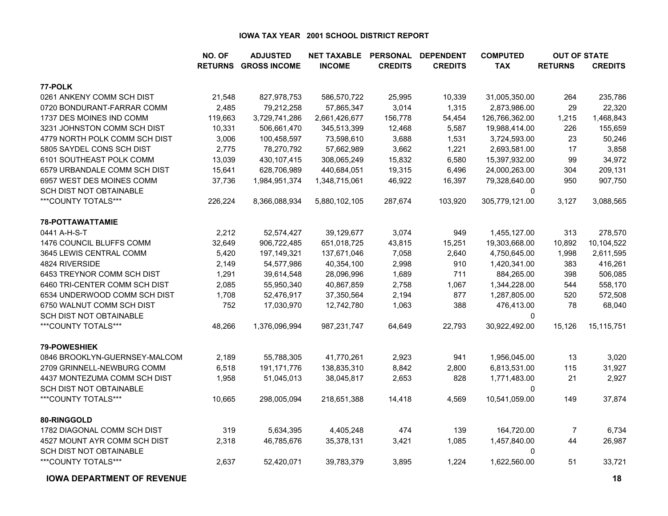|                                   | NO. OF  | <b>ADJUSTED</b>             | <b>NET TAXABLE</b> | <b>PERSONAL</b> | <b>DEPENDENT</b> | <b>COMPUTED</b> | <b>OUT OF STATE</b> |                |
|-----------------------------------|---------|-----------------------------|--------------------|-----------------|------------------|-----------------|---------------------|----------------|
|                                   |         | <b>RETURNS GROSS INCOME</b> | <b>INCOME</b>      | <b>CREDITS</b>  | <b>CREDITS</b>   | <b>TAX</b>      | <b>RETURNS</b>      | <b>CREDITS</b> |
| 77-POLK                           |         |                             |                    |                 |                  |                 |                     |                |
| 0261 ANKENY COMM SCH DIST         | 21,548  | 827,978,753                 | 586,570,722        | 25,995          | 10,339           | 31,005,350.00   | 264                 | 235,786        |
| 0720 BONDURANT-FARRAR COMM        | 2,485   | 79,212,258                  | 57,865,347         | 3,014           | 1,315            | 2,873,986.00    | 29                  | 22,320         |
| 1737 DES MOINES IND COMM          | 119,663 | 3,729,741,286               | 2,661,426,677      | 156,778         | 54,454           | 126,766,362.00  | 1,215               | 1,468,843      |
| 3231 JOHNSTON COMM SCH DIST       | 10,331  | 506,661,470                 | 345,513,399        | 12,468          | 5,587            | 19,988,414.00   | 226                 | 155,659        |
| 4779 NORTH POLK COMM SCH DIST     | 3,006   | 100,458,597                 | 73,598,610         | 3,688           | 1,531            | 3,724,593.00    | 23                  | 50,246         |
| 5805 SAYDEL CONS SCH DIST         | 2,775   | 78,270,792                  | 57,662,989         | 3,662           | 1,221            | 2,693,581.00    | 17                  | 3,858          |
| 6101 SOUTHEAST POLK COMM          | 13,039  | 430, 107, 415               | 308,065,249        | 15,832          | 6,580            | 15,397,932.00   | 99                  | 34,972         |
| 6579 URBANDALE COMM SCH DIST      | 15,641  | 628,706,989                 | 440,684,051        | 19,315          | 6,496            | 24,000,263.00   | 304                 | 209,131        |
| 6957 WEST DES MOINES COMM         | 37,736  | 1,984,951,374               | 1,348,715,061      | 46,922          | 16,397           | 79,328,640.00   | 950                 | 907,750        |
| SCH DIST NOT OBTAINABLE           |         |                             |                    |                 |                  | $\mathbf{0}$    |                     |                |
| ***COUNTY TOTALS***               | 226,224 | 8,366,088,934               | 5,880,102,105      | 287,674         | 103,920          | 305,779,121.00  | 3,127               | 3,088,565      |
| 78-POTTAWATTAMIE                  |         |                             |                    |                 |                  |                 |                     |                |
| 0441 A-H-S-T                      | 2,212   | 52,574,427                  | 39,129,677         | 3,074           | 949              | 1,455,127.00    | 313                 | 278,570        |
| 1476 COUNCIL BLUFFS COMM          | 32,649  | 906,722,485                 | 651,018,725        | 43,815          | 15,251           | 19,303,668.00   | 10,892              | 10,104,522     |
| 3645 LEWIS CENTRAL COMM           | 5,420   | 197,149,321                 | 137,671,046        | 7,058           | 2,640            | 4,750,645.00    | 1,998               | 2,611,595      |
| 4824 RIVERSIDE                    | 2,149   | 54,577,986                  | 40,354,100         | 2,998           | 910              | 1,420,341.00    | 383                 | 416,261        |
| 6453 TREYNOR COMM SCH DIST        | 1,291   | 39,614,548                  | 28,096,996         | 1,689           | 711              | 884,265.00      | 398                 | 506,085        |
| 6460 TRI-CENTER COMM SCH DIST     | 2,085   | 55,950,340                  | 40,867,859         | 2,758           | 1,067            | 1,344,228.00    | 544                 | 558,170        |
| 6534 UNDERWOOD COMM SCH DIST      | 1,708   | 52,476,917                  | 37,350,564         | 2,194           | 877              | 1,287,805.00    | 520                 | 572,508        |
| 6750 WALNUT COMM SCH DIST         | 752     | 17,030,970                  | 12,742,780         | 1,063           | 388              | 476,413.00      | 78                  | 68,040         |
| <b>SCH DIST NOT OBTAINABLE</b>    |         |                             |                    |                 |                  | 0               |                     |                |
| ***COUNTY TOTALS***               | 48,266  | 1,376,096,994               | 987,231,747        | 64,649          | 22,793           | 30,922,492.00   | 15,126              | 15,115,751     |
| 79-POWESHIEK                      |         |                             |                    |                 |                  |                 |                     |                |
| 0846 BROOKLYN-GUERNSEY-MALCOM     | 2,189   | 55,788,305                  | 41,770,261         | 2,923           | 941              | 1,956,045.00    | 13                  | 3,020          |
| 2709 GRINNELL-NEWBURG COMM        | 6,518   | 191, 171, 776               | 138,835,310        | 8,842           | 2,800            | 6,813,531.00    | 115                 | 31,927         |
| 4437 MONTEZUMA COMM SCH DIST      | 1,958   | 51,045,013                  | 38,045,817         | 2,653           | 828              | 1,771,483.00    | 21                  | 2,927          |
| SCH DIST NOT OBTAINABLE           |         |                             |                    |                 |                  | 0               |                     |                |
| ***COUNTY TOTALS***               | 10,665  | 298,005,094                 | 218,651,388        | 14,418          | 4,569            | 10,541,059.00   | 149                 | 37,874         |
| 80-RINGGOLD                       |         |                             |                    |                 |                  |                 |                     |                |
| 1782 DIAGONAL COMM SCH DIST       | 319     | 5,634,395                   | 4,405,248          | 474             | 139              | 164,720.00      | $\overline{7}$      | 6,734          |
| 4527 MOUNT AYR COMM SCH DIST      | 2,318   | 46,785,676                  | 35,378,131         | 3,421           | 1,085            | 1,457,840.00    | 44                  | 26,987         |
| SCH DIST NOT OBTAINABLE           |         |                             |                    |                 |                  | $\Omega$        |                     |                |
| ***COUNTY TOTALS***               | 2,637   | 52,420,071                  | 39,783,379         | 3,895           | 1,224            | 1,622,560.00    | 51                  | 33,721         |
| <b>IOWA DEPARTMENT OF REVENUE</b> |         |                             |                    |                 |                  |                 |                     | 18             |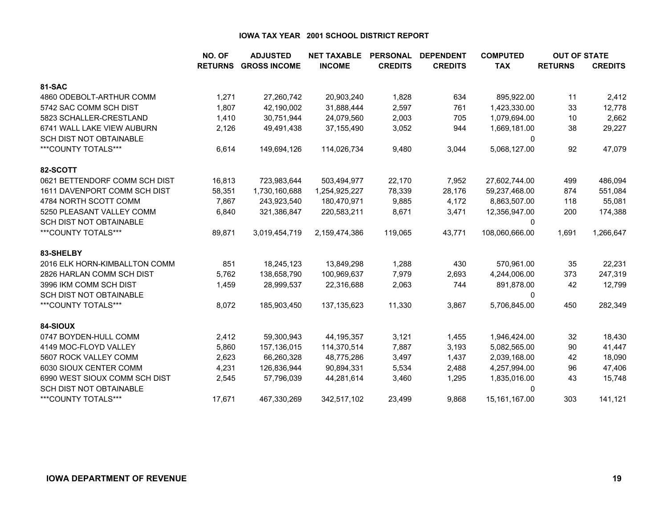|                                | NO. OF         | <b>ADJUSTED</b>     | <b>NET TAXABLE</b> | <b>PERSONAL</b> | <b>DEPENDENT</b><br><b>COMPUTED</b> |                |                | <b>OUT OF STATE</b> |
|--------------------------------|----------------|---------------------|--------------------|-----------------|-------------------------------------|----------------|----------------|---------------------|
|                                | <b>RETURNS</b> | <b>GROSS INCOME</b> | <b>INCOME</b>      | <b>CREDITS</b>  | <b>CREDITS</b>                      | <b>TAX</b>     | <b>RETURNS</b> | <b>CREDITS</b>      |
| <b>81-SAC</b>                  |                |                     |                    |                 |                                     |                |                |                     |
| 4860 ODEBOLT-ARTHUR COMM       | 1,271          | 27,260,742          | 20,903,240         | 1,828           | 634                                 | 895,922.00     | 11             | 2,412               |
| 5742 SAC COMM SCH DIST         | 1,807          | 42,190,002          | 31,888,444         | 2,597           | 761                                 | 1,423,330.00   | 33             | 12,778              |
| 5823 SCHALLER-CRESTLAND        | 1,410          | 30,751,944          | 24,079,560         | 2,003           | 705                                 | 1,079,694.00   | 10             | 2,662               |
| 6741 WALL LAKE VIEW AUBURN     | 2,126          | 49,491,438          | 37,155,490         | 3,052           | 944                                 | 1,669,181.00   | 38             | 29,227              |
| <b>SCH DIST NOT OBTAINABLE</b> |                |                     |                    |                 |                                     | 0              |                |                     |
| ***COUNTY TOTALS***            | 6,614          | 149,694,126         | 114,026,734        | 9,480           | 3,044                               | 5,068,127.00   | 92             | 47,079              |
| 82-SCOTT                       |                |                     |                    |                 |                                     |                |                |                     |
| 0621 BETTENDORF COMM SCH DIST  | 16,813         | 723,983,644         | 503,494,977        | 22,170          | 7,952                               | 27,602,744.00  | 499            | 486,094             |
| 1611 DAVENPORT COMM SCH DIST   | 58,351         | 1,730,160,688       | 1,254,925,227      | 78,339          | 28,176                              | 59,237,468.00  | 874            | 551,084             |
| 4784 NORTH SCOTT COMM          | 7.867          | 243,923,540         | 180,470,971        | 9,885           | 4,172                               | 8,863,507.00   | 118            | 55,081              |
| 5250 PLEASANT VALLEY COMM      | 6,840          | 321,386,847         | 220,583,211        | 8,671           | 3,471                               | 12,356,947.00  | 200            | 174,388             |
| <b>SCH DIST NOT OBTAINABLE</b> |                |                     |                    |                 |                                     | 0              |                |                     |
| ***COUNTY TOTALS***            | 89,871         | 3,019,454,719       | 2,159,474,386      | 119,065         | 43,771                              | 108,060,666.00 | 1,691          | 1,266,647           |
| 83-SHELBY                      |                |                     |                    |                 |                                     |                |                |                     |
| 2016 ELK HORN-KIMBALLTON COMM  | 851            | 18,245,123          | 13,849,298         | 1,288           | 430                                 | 570,961.00     | 35             | 22,231              |
| 2826 HARLAN COMM SCH DIST      | 5,762          | 138,658,790         | 100,969,637        | 7,979           | 2,693                               | 4,244,006.00   | 373            | 247,319             |
| 3996 IKM COMM SCH DIST         | 1,459          | 28,999,537          | 22,316,688         | 2,063           | 744                                 | 891,878.00     | 42             | 12,799              |
| <b>SCH DIST NOT OBTAINABLE</b> |                |                     |                    |                 |                                     | 0              |                |                     |
| ***COUNTY TOTALS***            | 8,072          | 185,903,450         | 137, 135, 623      | 11,330          | 3,867                               | 5,706,845.00   | 450            | 282,349             |
| 84-SIOUX                       |                |                     |                    |                 |                                     |                |                |                     |
| 0747 BOYDEN-HULL COMM          | 2,412          | 59,300,943          | 44,195,357         | 3,121           | 1,455                               | 1,946,424.00   | 32             | 18,430              |
| 4149 MOC-FLOYD VALLEY          | 5,860          | 157,136,015         | 114,370,514        | 7,887           | 3,193                               | 5,082,565.00   | 90             | 41,447              |
| 5607 ROCK VALLEY COMM          | 2,623          | 66,260,328          | 48,775,286         | 3,497           | 1,437                               | 2,039,168.00   | 42             | 18,090              |
| 6030 SIOUX CENTER COMM         | 4,231          | 126,836,944         | 90,894,331         | 5,534           | 2,488                               | 4,257,994.00   | 96             | 47,406              |
| 6990 WEST SIOUX COMM SCH DIST  | 2,545          | 57,796,039          | 44,281,614         | 3,460           | 1,295                               | 1,835,016.00   | 43             | 15,748              |
| <b>SCH DIST NOT OBTAINABLE</b> |                |                     |                    |                 |                                     | 0              |                |                     |
| ***COUNTY TOTALS***            | 17,671         | 467,330,269         | 342,517,102        | 23,499          | 9,868                               | 15,161,167.00  | 303            | 141,121             |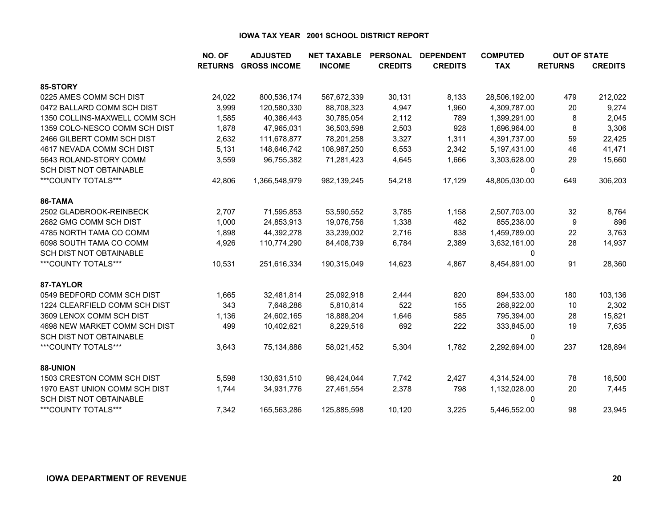|                                | NO. OF | <b>ADJUSTED</b>             | <b>NET TAXABLE</b> | <b>PERSONAL</b> | <b>DEPENDENT</b> | <b>COMPUTED</b> |                | <b>OUT OF STATE</b> |
|--------------------------------|--------|-----------------------------|--------------------|-----------------|------------------|-----------------|----------------|---------------------|
|                                |        | <b>RETURNS GROSS INCOME</b> | <b>INCOME</b>      | <b>CREDITS</b>  | <b>CREDITS</b>   | <b>TAX</b>      | <b>RETURNS</b> | <b>CREDITS</b>      |
| 85-STORY                       |        |                             |                    |                 |                  |                 |                |                     |
| 0225 AMES COMM SCH DIST        | 24,022 | 800,536,174                 | 567,672,339        | 30,131          | 8,133            | 28,506,192.00   | 479            | 212,022             |
| 0472 BALLARD COMM SCH DIST     | 3,999  | 120,580,330                 | 88,708,323         | 4,947           | 1,960            | 4,309,787.00    | 20             | 9,274               |
| 1350 COLLINS-MAXWELL COMM SCH  | 1,585  | 40,386,443                  | 30,785,054         | 2,112           | 789              | 1,399,291.00    | 8              | 2,045               |
| 1359 COLO-NESCO COMM SCH DIST  | 1,878  | 47,965,031                  | 36,503,598         | 2,503           | 928              | 1,696,964.00    | 8              | 3,306               |
| 2466 GILBERT COMM SCH DIST     | 2,632  | 111,678,877                 | 78,201,258         | 3,327           | 1,311            | 4,391,737.00    | 59             | 22,425              |
| 4617 NEVADA COMM SCH DIST      | 5,131  | 148,646,742                 | 108,987,250        | 6,553           | 2,342            | 5,197,431.00    | 46             | 41,471              |
| 5643 ROLAND-STORY COMM         | 3,559  | 96,755,382                  | 71,281,423         | 4,645           | 1,666            | 3,303,628.00    | 29             | 15,660              |
| <b>SCH DIST NOT OBTAINABLE</b> |        |                             |                    |                 |                  | 0               |                |                     |
| ***COUNTY TOTALS***            | 42,806 | 1,366,548,979               | 982,139,245        | 54,218          | 17,129           | 48,805,030.00   | 649            | 306,203             |
| 86-TAMA                        |        |                             |                    |                 |                  |                 |                |                     |
| 2502 GLADBROOK-REINBECK        | 2,707  | 71,595,853                  | 53,590,552         | 3,785           | 1,158            | 2,507,703.00    | 32             | 8,764               |
| 2682 GMG COMM SCH DIST         | 1,000  | 24,853,913                  | 19,076,756         | 1,338           | 482              | 855,238.00      | 9              | 896                 |
| 4785 NORTH TAMA CO COMM        | 1,898  | 44,392,278                  | 33,239,002         | 2,716           | 838              | 1,459,789.00    | 22             | 3,763               |
| 6098 SOUTH TAMA CO COMM        | 4,926  | 110,774,290                 | 84,408,739         | 6,784           | 2,389            | 3,632,161.00    | 28             | 14,937              |
| <b>SCH DIST NOT OBTAINABLE</b> |        |                             |                    |                 |                  | 0               |                |                     |
| ***COUNTY TOTALS***            | 10,531 | 251,616,334                 | 190,315,049        | 14,623          | 4,867            | 8,454,891.00    | 91             | 28,360              |
| 87-TAYLOR                      |        |                             |                    |                 |                  |                 |                |                     |
| 0549 BEDFORD COMM SCH DIST     | 1,665  | 32,481,814                  | 25,092,918         | 2,444           | 820              | 894,533.00      | 180            | 103,136             |
| 1224 CLEARFIELD COMM SCH DIST  | 343    | 7,648,286                   | 5,810,814          | 522             | 155              | 268,922.00      | 10             | 2,302               |
| 3609 LENOX COMM SCH DIST       | 1,136  | 24,602,165                  | 18,888,204         | 1,646           | 585              | 795,394.00      | 28             | 15,821              |
| 4698 NEW MARKET COMM SCH DIST  | 499    | 10,402,621                  | 8,229,516          | 692             | 222              | 333,845.00      | 19             | 7,635               |
| <b>SCH DIST NOT OBTAINABLE</b> |        |                             |                    |                 |                  | $\mathbf{0}$    |                |                     |
| ***COUNTY TOTALS***            | 3,643  | 75,134,886                  | 58,021,452         | 5,304           | 1,782            | 2,292,694.00    | 237            | 128,894             |
| 88-UNION                       |        |                             |                    |                 |                  |                 |                |                     |
| 1503 CRESTON COMM SCH DIST     | 5,598  | 130,631,510                 | 98,424,044         | 7,742           | 2,427            | 4,314,524.00    | 78             | 16,500              |
| 1970 EAST UNION COMM SCH DIST  | 1,744  | 34,931,776                  | 27,461,554         | 2,378           | 798              | 1,132,028.00    | 20             | 7,445               |
| <b>SCH DIST NOT OBTAINABLE</b> |        |                             |                    |                 |                  | $\Omega$        |                |                     |
| ***COUNTY TOTALS***            | 7,342  | 165,563,286                 | 125,885,598        | 10,120          | 3,225            | 5,446,552.00    | 98             | 23,945              |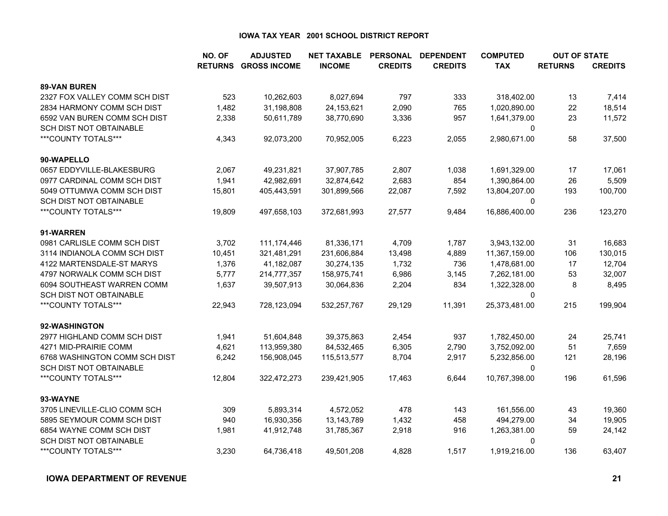|                                | NO. OF | <b>ADJUSTED</b>             | <b>NET TAXABLE</b> | <b>PERSONAL</b> | <b>DEPENDENT</b> | <b>COMPUTED</b> | <b>OUT OF STATE</b> |                |
|--------------------------------|--------|-----------------------------|--------------------|-----------------|------------------|-----------------|---------------------|----------------|
|                                |        | <b>RETURNS GROSS INCOME</b> | <b>INCOME</b>      | <b>CREDITS</b>  | <b>CREDITS</b>   | <b>TAX</b>      | <b>RETURNS</b>      | <b>CREDITS</b> |
| <b>89-VAN BUREN</b>            |        |                             |                    |                 |                  |                 |                     |                |
| 2327 FOX VALLEY COMM SCH DIST  | 523    | 10,262,603                  | 8,027,694          | 797             | 333              | 318,402.00      | 13                  | 7,414          |
| 2834 HARMONY COMM SCH DIST     | 1,482  | 31,198,808                  | 24, 153, 621       | 2,090           | 765              | 1,020,890.00    | 22                  | 18,514         |
| 6592 VAN BUREN COMM SCH DIST   | 2,338  | 50,611,789                  | 38,770,690         | 3,336           | 957              | 1,641,379.00    | 23                  | 11,572         |
| SCH DIST NOT OBTAINABLE        |        |                             |                    |                 |                  | 0               |                     |                |
| ***COUNTY TOTALS***            | 4,343  | 92,073,200                  | 70,952,005         | 6,223           | 2,055            | 2,980,671.00    | 58                  | 37,500         |
| 90-WAPELLO                     |        |                             |                    |                 |                  |                 |                     |                |
| 0657 EDDYVILLE-BLAKESBURG      | 2,067  | 49,231,821                  | 37,907,785         | 2,807           | 1,038            | 1,691,329.00    | 17                  | 17,061         |
| 0977 CARDINAL COMM SCH DIST    | 1,941  | 42,982,691                  | 32,874,642         | 2,683           | 854              | 1,390,864.00    | 26                  | 5,509          |
| 5049 OTTUMWA COMM SCH DIST     | 15,801 | 405,443,591                 | 301,899,566        | 22,087          | 7,592            | 13,804,207.00   | 193                 | 100,700        |
| SCH DIST NOT OBTAINABLE        |        |                             |                    |                 |                  | $\Omega$        |                     |                |
| ***COUNTY TOTALS***            | 19,809 | 497,658,103                 | 372,681,993        | 27,577          | 9,484            | 16,886,400.00   | 236                 | 123,270        |
| 91-WARREN                      |        |                             |                    |                 |                  |                 |                     |                |
| 0981 CARLISLE COMM SCH DIST    | 3,702  | 111, 174, 446               | 81,336,171         | 4,709           | 1,787            | 3,943,132.00    | 31                  | 16,683         |
| 3114 INDIANOLA COMM SCH DIST   | 10,451 | 321,481,291                 | 231,606,884        | 13,498          | 4,889            | 11,367,159.00   | 106                 | 130,015        |
| 4122 MARTENSDALE-ST MARYS      | 1,376  | 41,182,087                  | 30,274,135         | 1,732           | 736              | 1,478,681.00    | 17                  | 12,704         |
| 4797 NORWALK COMM SCH DIST     | 5,777  | 214,777,357                 | 158,975,741        | 6,986           | 3,145            | 7,262,181.00    | 53                  | 32,007         |
| 6094 SOUTHEAST WARREN COMM     | 1,637  | 39,507,913                  | 30,064,836         | 2,204           | 834              | 1,322,328.00    | 8                   | 8,495          |
| <b>SCH DIST NOT OBTAINABLE</b> |        |                             |                    |                 |                  | $\Omega$        |                     |                |
| ***COUNTY TOTALS***            | 22,943 | 728,123,094                 | 532,257,767        | 29,129          | 11,391           | 25,373,481.00   | 215                 | 199,904        |
| 92-WASHINGTON                  |        |                             |                    |                 |                  |                 |                     |                |
| 2977 HIGHLAND COMM SCH DIST    | 1,941  | 51,604,848                  | 39,375,863         | 2,454           | 937              | 1,782,450.00    | 24                  | 25,741         |
| 4271 MID-PRAIRIE COMM          | 4,621  | 113,959,380                 | 84,532,465         | 6,305           | 2,790            | 3,752,092.00    | 51                  | 7,659          |
| 6768 WASHINGTON COMM SCH DIST  | 6,242  | 156,908,045                 | 115,513,577        | 8,704           | 2,917            | 5,232,856.00    | 121                 | 28,196         |
| SCH DIST NOT OBTAINABLE        |        |                             |                    |                 |                  | 0               |                     |                |
| ***COUNTY TOTALS***            | 12,804 | 322,472,273                 | 239,421,905        | 17,463          | 6,644            | 10,767,398.00   | 196                 | 61,596         |
| 93-WAYNE                       |        |                             |                    |                 |                  |                 |                     |                |
| 3705 LINEVILLE-CLIO COMM SCH   | 309    | 5,893,314                   | 4,572,052          | 478             | 143              | 161,556.00      | 43                  | 19,360         |
| 5895 SEYMOUR COMM SCH DIST     | 940    | 16,930,356                  | 13,143,789         | 1,432           | 458              | 494,279.00      | 34                  | 19,905         |
| 6854 WAYNE COMM SCH DIST       | 1,981  | 41,912,748                  | 31,785,367         | 2,918           | 916              | 1,263,381.00    | 59                  | 24,142         |
| <b>SCH DIST NOT OBTAINABLE</b> |        |                             |                    |                 |                  | $\Omega$        |                     |                |
| ***COUNTY TOTALS***            | 3,230  | 64,736,418                  | 49,501,208         | 4,828           | 1,517            | 1,919,216.00    | 136                 | 63,407         |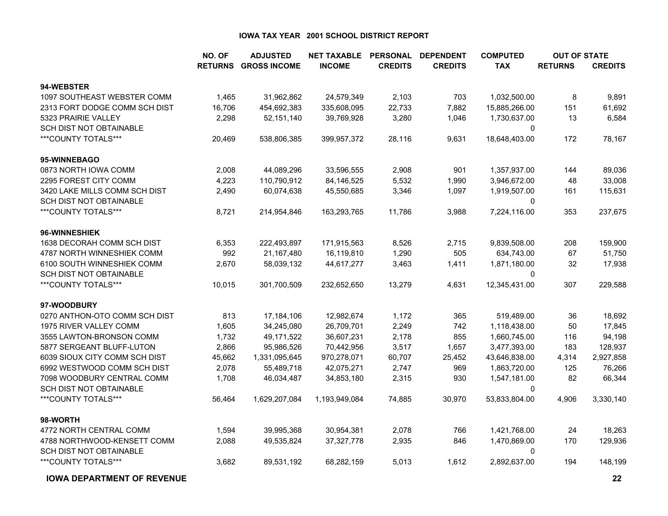|                                | NO. OF | <b>ADJUSTED</b>             | <b>NET TAXABLE</b> | <b>PERSONAL</b> | <b>DEPENDENT</b> | <b>COMPUTED</b> | <b>OUT OF STATE</b> |                |
|--------------------------------|--------|-----------------------------|--------------------|-----------------|------------------|-----------------|---------------------|----------------|
|                                |        | <b>RETURNS GROSS INCOME</b> | <b>INCOME</b>      | <b>CREDITS</b>  | <b>CREDITS</b>   | <b>TAX</b>      | <b>RETURNS</b>      | <b>CREDITS</b> |
| 94-WEBSTER                     |        |                             |                    |                 |                  |                 |                     |                |
| 1097 SOUTHEAST WEBSTER COMM    | 1,465  | 31,962,862                  | 24,579,349         | 2,103           | 703              | 1,032,500.00    | 8                   | 9,891          |
| 2313 FORT DODGE COMM SCH DIST  | 16,706 | 454,692,383                 | 335,608,095        | 22,733          | 7,882            | 15,885,266.00   | 151                 | 61,692         |
| 5323 PRAIRIE VALLEY            | 2,298  | 52,151,140                  | 39,769,928         | 3,280           | 1,046            | 1,730,637.00    | 13                  | 6,584          |
| <b>SCH DIST NOT OBTAINABLE</b> |        |                             |                    |                 |                  | 0               |                     |                |
| ***COUNTY TOTALS***            | 20,469 | 538,806,385                 | 399,957,372        | 28,116          | 9,631            | 18,648,403.00   | 172                 | 78,167         |
| 95-WINNEBAGO                   |        |                             |                    |                 |                  |                 |                     |                |
| 0873 NORTH IOWA COMM           | 2,008  | 44,089,296                  | 33,596,555         | 2,908           | 901              | 1,357,937.00    | 144                 | 89,036         |
| 2295 FOREST CITY COMM          | 4,223  | 110,790,912                 | 84,146,525         | 5,532           | 1,990            | 3,946,672.00    | 48                  | 33,008         |
| 3420 LAKE MILLS COMM SCH DIST  | 2,490  | 60,074,638                  | 45,550,685         | 3,346           | 1,097            | 1,919,507.00    | 161                 | 115,631        |
| SCH DIST NOT OBTAINABLE        |        |                             |                    |                 |                  | 0               |                     |                |
| ***COUNTY TOTALS***            | 8,721  | 214,954,846                 | 163,293,765        | 11,786          | 3,988            | 7,224,116.00    | 353                 | 237,675        |
| 96-WINNESHIEK                  |        |                             |                    |                 |                  |                 |                     |                |
| 1638 DECORAH COMM SCH DIST     | 6,353  | 222,493,897                 | 171,915,563        | 8,526           | 2,715            | 9,839,508.00    | 208                 | 159,900        |
| 4787 NORTH WINNESHIEK COMM     | 992    | 21,167,480                  | 16,119,810         | 1,290           | 505              | 634,743.00      | 67                  | 51,750         |
| 6100 SOUTH WINNESHIEK COMM     | 2,670  | 58,039,132                  | 44,617,277         | 3,463           | 1,411            | 1,871,180.00    | 32                  | 17,938         |
| SCH DIST NOT OBTAINABLE        |        |                             |                    |                 |                  | $\Omega$        |                     |                |
| ***COUNTY TOTALS***            | 10,015 | 301,700,509                 | 232,652,650        | 13,279          | 4,631            | 12,345,431.00   | 307                 | 229,588        |
| 97-WOODBURY                    |        |                             |                    |                 |                  |                 |                     |                |
| 0270 ANTHON-OTO COMM SCH DIST  | 813    | 17,184,106                  | 12,982,674         | 1,172           | 365              | 519,489.00      | 36                  | 18,692         |
| 1975 RIVER VALLEY COMM         | 1,605  | 34,245,080                  | 26,709,701         | 2,249           | 742              | 1,118,438.00    | 50                  | 17,845         |
| 3555 LAWTON-BRONSON COMM       | 1,732  | 49,171,522                  | 36,607,231         | 2,178           | 855              | 1,660,745.00    | 116                 | 94,198         |
| 5877 SERGEANT BLUFF-LUTON      | 2,866  | 95,986,526                  | 70,442,956         | 3,517           | 1,657            | 3,477,393.00    | 183                 | 128,937        |
| 6039 SIOUX CITY COMM SCH DIST  | 45,662 | 1,331,095,645               | 970,278,071        | 60,707          | 25,452           | 43,646,838.00   | 4,314               | 2,927,858      |
| 6992 WESTWOOD COMM SCH DIST    | 2,078  | 55,489,718                  | 42,075,271         | 2,747           | 969              | 1,863,720.00    | 125                 | 76,266         |
| 7098 WOODBURY CENTRAL COMM     | 1,708  | 46,034,487                  | 34,853,180         | 2,315           | 930              | 1,547,181.00    | 82                  | 66,344         |
| SCH DIST NOT OBTAINABLE        |        |                             |                    |                 |                  | 0               |                     |                |
| ***COUNTY TOTALS***            | 56,464 | 1,629,207,084               | 1,193,949,084      | 74,885          | 30,970           | 53,833,804.00   | 4,906               | 3,330,140      |
| 98-WORTH                       |        |                             |                    |                 |                  |                 |                     |                |
| 4772 NORTH CENTRAL COMM        | 1,594  | 39,995,368                  | 30,954,381         | 2,078           | 766              | 1,421,768.00    | 24                  | 18,263         |
| 4788 NORTHWOOD-KENSETT COMM    | 2,088  | 49,535,824                  | 37, 327, 778       | 2,935           | 846              | 1,470,869.00    | 170                 | 129,936        |
| SCH DIST NOT OBTAINABLE        |        |                             |                    |                 |                  | 0               |                     |                |
| ***COUNTY TOTALS***            | 3,682  | 89,531,192                  | 68,282,159         | 5,013           | 1,612            | 2,892,637.00    | 194                 | 148,199        |

**IOWA DEPARTMENT OF REVENUE**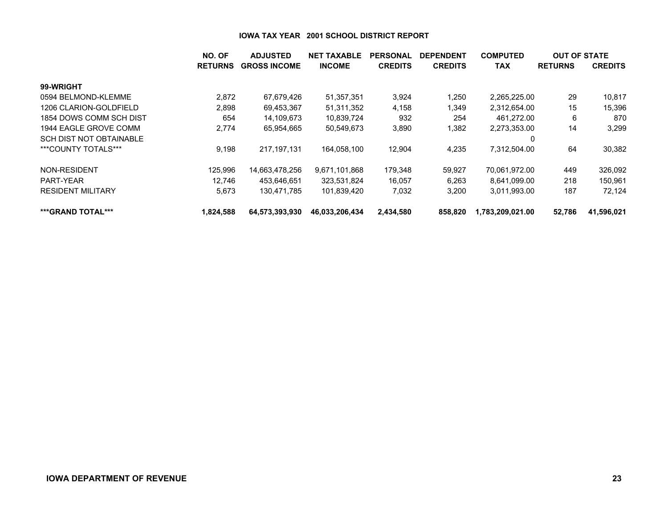|                                | NO. OF         | <b>ADJUSTED</b>     | <b>NET TAXABLE</b> | <b>PERSONAL</b> | <b>DEPENDENT</b> | <b>COMPUTED</b>  | <b>OUT OF STATE</b> |                |
|--------------------------------|----------------|---------------------|--------------------|-----------------|------------------|------------------|---------------------|----------------|
|                                | <b>RETURNS</b> | <b>GROSS INCOME</b> | <b>INCOME</b>      | <b>CREDITS</b>  | <b>CREDITS</b>   | <b>TAX</b>       | <b>RETURNS</b>      | <b>CREDITS</b> |
| 99-WRIGHT                      |                |                     |                    |                 |                  |                  |                     |                |
| 0594 BELMOND-KLEMME            | 2,872          | 67,679,426          | 51,357,351         | 3,924           | 1,250            | 2,265,225.00     | 29                  | 10,817         |
| 1206 CLARION-GOLDFIELD         | 2,898          | 69,453,367          | 51,311,352         | 4,158           | 1,349            | 2,312,654.00     | 15                  | 15,396         |
| 1854 DOWS COMM SCH DIST        | 654            | 14,109,673          | 10,839,724         | 932             | 254              | 461,272.00       | 6                   | 870            |
| 1944 EAGLE GROVE COMM          | 2,774          | 65,954,665          | 50,549,673         | 3,890           | 1,382            | 2,273,353.00     | 14                  | 3,299          |
| <b>SCH DIST NOT OBTAINABLE</b> |                |                     |                    |                 |                  | 0                |                     |                |
| ***COUNTY TOTALS***            | 9,198          | 217.197.131         | 164,058,100        | 12,904          | 4,235            | 7.312.504.00     | 64                  | 30,382         |
| NON-RESIDENT                   | 125,996        | 14,663,478,256      | 9,671,101,868      | 179,348         | 59,927           | 70,061,972.00    | 449                 | 326,092        |
| PART-YEAR                      | 12.746         | 453,646,651         | 323,531,824        | 16,057          | 6,263            | 8.641.099.00     | 218                 | 150,961        |
| <b>RESIDENT MILITARY</b>       | 5,673          | 130,471,785         | 101,839,420        | 7,032           | 3,200            | 3,011,993.00     | 187                 | 72,124         |
| ***GRAND TOTAL***              | 1,824,588      | 64,573,393,930      | 46,033,206,434     | 2,434,580       | 858,820          | 1,783,209,021.00 | 52,786              | 41,596,021     |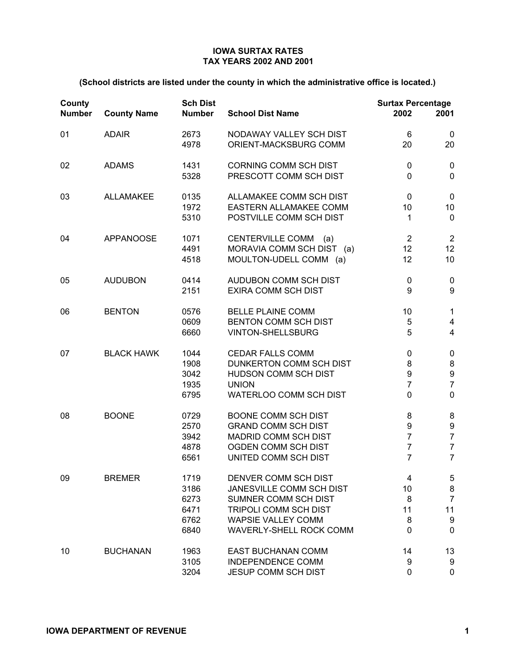| County<br><b>Number</b> | <b>County Name</b> | <b>Sch Dist</b><br><b>Number</b>             | <b>School Dist Name</b>                                                                                                                                          | <b>Surtax Percentage</b><br>2002                             | 2001                                                                        |
|-------------------------|--------------------|----------------------------------------------|------------------------------------------------------------------------------------------------------------------------------------------------------------------|--------------------------------------------------------------|-----------------------------------------------------------------------------|
| 01                      | <b>ADAIR</b>       | 2673<br>4978                                 | NODAWAY VALLEY SCH DIST<br>ORIENT-MACKSBURG COMM                                                                                                                 | 6<br>20                                                      | 0<br>20                                                                     |
| 02                      | <b>ADAMS</b>       | 1431<br>5328                                 | <b>CORNING COMM SCH DIST</b><br>PRESCOTT COMM SCH DIST                                                                                                           | 0<br>$\mathbf 0$                                             | 0<br>$\mathbf 0$                                                            |
| 03                      | <b>ALLAMAKEE</b>   | 0135<br>1972<br>5310                         | ALLAMAKEE COMM SCH DIST<br>EASTERN ALLAMAKEE COMM<br>POSTVILLE COMM SCH DIST                                                                                     | 0<br>10<br>1                                                 | $\mathbf 0$<br>10<br>0                                                      |
| 04                      | <b>APPANOOSE</b>   | 1071<br>4491<br>4518                         | <b>CENTERVILLE COMM</b><br>(a)<br>MORAVIA COMM SCH DIST (a)<br>MOULTON-UDELL COMM (a)                                                                            | $\overline{2}$<br>12<br>12                                   | $\overline{2}$<br>12<br>10                                                  |
| 05                      | <b>AUDUBON</b>     | 0414<br>2151                                 | AUDUBON COMM SCH DIST<br><b>EXIRA COMM SCH DIST</b>                                                                                                              | $\pmb{0}$<br>9                                               | $\pmb{0}$<br>$\boldsymbol{9}$                                               |
| 06                      | <b>BENTON</b>      | 0576<br>0609<br>6660                         | <b>BELLE PLAINE COMM</b><br>BENTON COMM SCH DIST<br><b>VINTON-SHELLSBURG</b>                                                                                     | 10<br>5<br>5                                                 | $\mathbf{1}$<br>4<br>4                                                      |
| 07                      | <b>BLACK HAWK</b>  | 1044<br>1908<br>3042<br>1935<br>6795         | <b>CEDAR FALLS COMM</b><br>DUNKERTON COMM SCH DIST<br>HUDSON COMM SCH DIST<br><b>UNION</b><br>WATERLOO COMM SCH DIST                                             | 0<br>8<br>9<br>$\overline{7}$<br>$\mathbf 0$                 | 0<br>8<br>9<br>$\overline{7}$<br>$\mathbf 0$                                |
| 08                      | <b>BOONE</b>       | 0729<br>2570<br>3942<br>4878<br>6561         | <b>BOONE COMM SCH DIST</b><br><b>GRAND COMM SCH DIST</b><br><b>MADRID COMM SCH DIST</b><br>OGDEN COMM SCH DIST<br>UNITED COMM SCH DIST                           | 8<br>9<br>$\overline{7}$<br>$\overline{7}$<br>$\overline{7}$ | 8<br>$\boldsymbol{9}$<br>$\overline{7}$<br>$\overline{7}$<br>$\overline{7}$ |
| 09                      | <b>BREMER</b>      | 1719<br>3186<br>6273<br>6471<br>6762<br>6840 | DENVER COMM SCH DIST<br><b>JANESVILLE COMM SCH DIST</b><br>SUMNER COMM SCH DIST<br>TRIPOLI COMM SCH DIST<br><b>WAPSIE VALLEY COMM</b><br>WAVERLY-SHELL ROCK COMM | 4<br>10<br>8<br>11<br>8<br>0                                 | 5<br>8<br>$\overline{7}$<br>11<br>9<br>0                                    |
| 10                      | <b>BUCHANAN</b>    | 1963<br>3105<br>3204                         | <b>EAST BUCHANAN COMM</b><br><b>INDEPENDENCE COMM</b><br><b>JESUP COMM SCH DIST</b>                                                                              | 14<br>9<br>0                                                 | 13<br>9<br>0                                                                |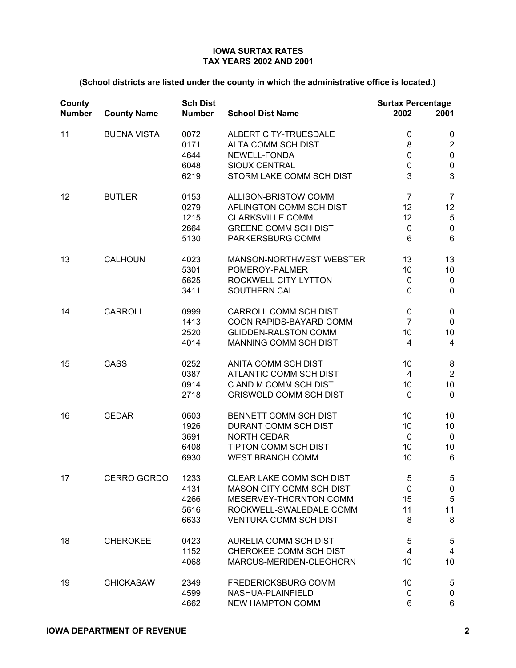| County<br><b>Number</b> | <b>County Name</b> | <b>Sch Dist</b><br><b>Number</b>     | <b>School Dist Name</b>                                                                                                                          | <b>Surtax Percentage</b><br>2002                      | 2001                                                                 |
|-------------------------|--------------------|--------------------------------------|--------------------------------------------------------------------------------------------------------------------------------------------------|-------------------------------------------------------|----------------------------------------------------------------------|
| 11                      | <b>BUENA VISTA</b> | 0072<br>0171<br>4644<br>6048<br>6219 | ALBERT CITY-TRUESDALE<br>ALTA COMM SCH DIST<br>NEWELL-FONDA<br><b>SIOUX CENTRAL</b><br>STORM LAKE COMM SCH DIST                                  | $\pmb{0}$<br>8<br>0<br>0<br>3                         | 0<br>$\overline{c}$<br>$\mathbf 0$<br>$\pmb{0}$<br>3                 |
| 12                      | <b>BUTLER</b>      | 0153<br>0279<br>1215<br>2664<br>5130 | ALLISON-BRISTOW COMM<br>APLINGTON COMM SCH DIST<br><b>CLARKSVILLE COMM</b><br><b>GREENE COMM SCH DIST</b><br>PARKERSBURG COMM                    | $\overline{7}$<br>12<br>12<br>$\pmb{0}$<br>6          | $\overline{7}$<br>12<br>$\mathbf 5$<br>$\mathbf 0$<br>$6\phantom{1}$ |
| 13                      | CALHOUN            | 4023<br>5301<br>5625<br>3411         | MANSON-NORTHWEST WEBSTER<br>POMEROY-PALMER<br>ROCKWELL CITY-LYTTON<br>SOUTHERN CAL                                                               | 13<br>10<br>$\mathbf 0$<br>$\mathbf 0$                | 13<br>10<br>$\pmb{0}$<br>$\mathbf 0$                                 |
| 14                      | CARROLL            | 0999<br>1413<br>2520<br>4014         | <b>CARROLL COMM SCH DIST</b><br>COON RAPIDS-BAYARD COMM<br><b>GLIDDEN-RALSTON COMM</b><br>MANNING COMM SCH DIST                                  | $\mathbf 0$<br>$\overline{7}$<br>10<br>$\overline{4}$ | 0<br>$\pmb{0}$<br>10<br>$\overline{4}$                               |
| 15                      | <b>CASS</b>        | 0252<br>0387<br>0914<br>2718         | ANITA COMM SCH DIST<br>ATLANTIC COMM SCH DIST<br>C AND M COMM SCH DIST<br><b>GRISWOLD COMM SCH DIST</b>                                          | 10<br>$\overline{\mathbf{4}}$<br>10<br>$\mathbf 0$    | 8<br>$\boldsymbol{2}$<br>10<br>$\mathbf 0$                           |
| 16                      | <b>CEDAR</b>       | 0603<br>1926<br>3691<br>6408<br>6930 | BENNETT COMM SCH DIST<br>DURANT COMM SCH DIST<br><b>NORTH CEDAR</b><br>TIPTON COMM SCH DIST<br><b>WEST BRANCH COMM</b>                           | 10<br>10<br>0<br>10<br>10                             | 10<br>10<br>$\mathbf 0$<br>10<br>6                                   |
| 17                      | CERRO GORDO        | 1233<br>4131<br>4266<br>5616<br>6633 | CLEAR LAKE COMM SCH DIST<br><b>MASON CITY COMM SCH DIST</b><br>MESERVEY-THORNTON COMM<br>ROCKWELL-SWALEDALE COMM<br><b>VENTURA COMM SCH DIST</b> | 5<br>0<br>15<br>11<br>8                               | 5<br>$\pmb{0}$<br>$\sqrt{5}$<br>11<br>8                              |
| 18                      | <b>CHEROKEE</b>    | 0423<br>1152<br>4068                 | <b>AURELIA COMM SCH DIST</b><br>CHEROKEE COMM SCH DIST<br>MARCUS-MERIDEN-CLEGHORN                                                                | 5<br>4<br>10                                          | 5<br>4<br>10                                                         |
| 19                      | <b>CHICKASAW</b>   | 2349<br>4599<br>4662                 | <b>FREDERICKSBURG COMM</b><br>NASHUA-PLAINFIELD<br><b>NEW HAMPTON COMM</b>                                                                       | 10<br>0<br>6                                          | 5<br>$\pmb{0}$<br>6                                                  |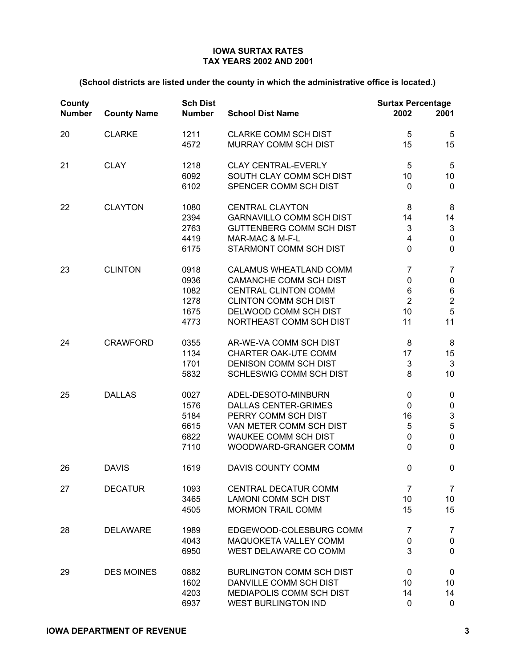| County<br><b>Number</b> | <b>County Name</b> | <b>Sch Dist</b><br><b>Number</b>             | <b>School Dist Name</b>                                                                                                                                                    | <b>Surtax Percentage</b><br>2002                                         | 2001                                                                                   |
|-------------------------|--------------------|----------------------------------------------|----------------------------------------------------------------------------------------------------------------------------------------------------------------------------|--------------------------------------------------------------------------|----------------------------------------------------------------------------------------|
| 20                      | <b>CLARKE</b>      | 1211<br>4572                                 | <b>CLARKE COMM SCH DIST</b><br><b>MURRAY COMM SCH DIST</b>                                                                                                                 | 5<br>15                                                                  | 5<br>15                                                                                |
| 21                      | <b>CLAY</b>        | 1218<br>6092<br>6102                         | <b>CLAY CENTRAL-EVERLY</b><br>SOUTH CLAY COMM SCH DIST<br>SPENCER COMM SCH DIST                                                                                            | 5<br>10<br>$\mathbf 0$                                                   | $\sqrt{5}$<br>10<br>$\mathbf 0$                                                        |
| 22                      | <b>CLAYTON</b>     | 1080<br>2394<br>2763<br>4419<br>6175         | <b>CENTRAL CLAYTON</b><br><b>GARNAVILLO COMM SCH DIST</b><br><b>GUTTENBERG COMM SCH DIST</b><br>MAR-MAC & M-F-L<br>STARMONT COMM SCH DIST                                  | 8<br>14<br>3<br>4<br>$\mathbf 0$                                         | 8<br>14<br>$\ensuremath{\mathsf{3}}$<br>$\pmb{0}$<br>$\pmb{0}$                         |
| 23                      | <b>CLINTON</b>     | 0918<br>0936<br>1082<br>1278<br>1675<br>4773 | CALAMUS WHEATLAND COMM<br><b>CAMANCHE COMM SCH DIST</b><br><b>CENTRAL CLINTON COMM</b><br><b>CLINTON COMM SCH DIST</b><br>DELWOOD COMM SCH DIST<br>NORTHEAST COMM SCH DIST | $\overline{7}$<br>$\pmb{0}$<br>$\,6\,$<br>$\overline{2}$<br>10<br>11     | $\overline{7}$<br>$\pmb{0}$<br>$\,6$<br>$\mathbf 2$<br>$\overline{5}$<br>11            |
| 24                      | <b>CRAWFORD</b>    | 0355<br>1134<br>1701<br>5832                 | AR-WE-VA COMM SCH DIST<br>CHARTER OAK-UTE COMM<br>DENISON COMM SCH DIST<br><b>SCHLESWIG COMM SCH DIST</b>                                                                  | 8<br>17<br>3<br>8                                                        | 8<br>15<br>$\mathbf{3}$<br>10                                                          |
| 25                      | <b>DALLAS</b>      | 0027<br>1576<br>5184<br>6615<br>6822<br>7110 | ADEL-DESOTO-MINBURN<br><b>DALLAS CENTER-GRIMES</b><br>PERRY COMM SCH DIST<br>VAN METER COMM SCH DIST<br><b>WAUKEE COMM SCH DIST</b><br>WOODWARD-GRANGER COMM               | $\pmb{0}$<br>$\mathbf 0$<br>16<br>$\sqrt{5}$<br>$\pmb{0}$<br>$\mathbf 0$ | 0<br>$\pmb{0}$<br>$\ensuremath{\mathsf{3}}$<br>$\mathbf 5$<br>$\mathbf 0$<br>$\pmb{0}$ |
| 26                      | <b>DAVIS</b>       | 1619                                         | DAVIS COUNTY COMM                                                                                                                                                          | $\mathbf 0$                                                              | 0                                                                                      |
| 27                      | <b>DECATUR</b>     | 1093<br>3465<br>4505                         | <b>CENTRAL DECATUR COMM</b><br><b>LAMONI COMM SCH DIST</b><br><b>MORMON TRAIL COMM</b>                                                                                     | $\overline{7}$<br>10<br>15                                               | 7<br>10<br>15                                                                          |
| 28                      | <b>DELAWARE</b>    | 1989<br>4043<br>6950                         | EDGEWOOD-COLESBURG COMM<br>MAQUOKETA VALLEY COMM<br>WEST DELAWARE CO COMM                                                                                                  | 7<br>0<br>3                                                              | 7<br>$\pmb{0}$<br>$\mathbf 0$                                                          |
| 29                      | <b>DES MOINES</b>  | 0882<br>1602<br>4203<br>6937                 | <b>BURLINGTON COMM SCH DIST</b><br>DANVILLE COMM SCH DIST<br>MEDIAPOLIS COMM SCH DIST<br><b>WEST BURLINGTON IND</b>                                                        | 0<br>10<br>14<br>0                                                       | 0<br>10<br>14<br>$\mathbf 0$                                                           |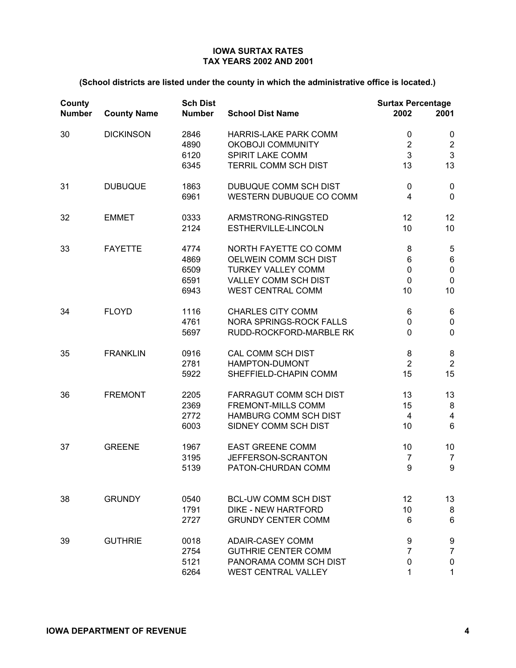| County<br><b>Number</b> | <b>County Name</b> | <b>Sch Dist</b><br><b>Number</b>     | <b>School Dist Name</b>                                                                                                                | <b>Surtax Percentage</b><br>2002           | 2001                                                       |
|-------------------------|--------------------|--------------------------------------|----------------------------------------------------------------------------------------------------------------------------------------|--------------------------------------------|------------------------------------------------------------|
| 30                      | <b>DICKINSON</b>   | 2846<br>4890<br>6120<br>6345         | <b>HARRIS-LAKE PARK COMM</b><br><b>OKOBOJI COMMUNITY</b><br>SPIRIT LAKE COMM<br>TERRIL COMM SCH DIST                                   | $\mathbf 0$<br>$\boldsymbol{2}$<br>3<br>13 | 0<br>$\overline{\mathbf{c}}$<br>3<br>13                    |
| 31                      | <b>DUBUQUE</b>     | 1863<br>6961                         | DUBUQUE COMM SCH DIST<br>WESTERN DUBUQUE CO COMM                                                                                       | 0<br>$\overline{4}$                        | 0<br>$\overline{0}$                                        |
| 32                      | <b>EMMET</b>       | 0333<br>2124                         | ARMSTRONG-RINGSTED<br>ESTHERVILLE-LINCOLN                                                                                              | 12<br>10                                   | 12<br>10                                                   |
| 33                      | <b>FAYETTE</b>     | 4774<br>4869<br>6509<br>6591<br>6943 | NORTH FAYETTE CO COMM<br>OELWEIN COMM SCH DIST<br><b>TURKEY VALLEY COMM</b><br><b>VALLEY COMM SCH DIST</b><br><b>WEST CENTRAL COMM</b> | 8<br>6<br>$\pmb{0}$<br>$\mathbf 0$<br>10   | 5<br>$\,6$<br>$\pmb{0}$<br>$\pmb{0}$<br>10                 |
| 34                      | <b>FLOYD</b>       | 1116<br>4761<br>5697                 | <b>CHARLES CITY COMM</b><br><b>NORA SPRINGS-ROCK FALLS</b><br>RUDD-ROCKFORD-MARBLE RK                                                  | 6<br>0<br>$\overline{0}$                   | 6<br>$\pmb{0}$<br>$\mathbf 0$                              |
| 35                      | <b>FRANKLIN</b>    | 0916<br>2781<br>5922                 | CAL COMM SCH DIST<br>HAMPTON-DUMONT<br>SHEFFIELD-CHAPIN COMM                                                                           | 8<br>$\overline{2}$<br>15                  | 8<br>$\overline{2}$<br>15                                  |
| 36                      | <b>FREMONT</b>     | 2205<br>2369<br>2772<br>6003         | FARRAGUT COMM SCH DIST<br><b>FREMONT-MILLS COMM</b><br><b>HAMBURG COMM SCH DIST</b><br>SIDNEY COMM SCH DIST                            | 13<br>15<br>$\overline{4}$<br>10           | 13<br>$\bf 8$<br>$\overline{\mathbf{4}}$<br>$6\phantom{1}$ |
| 37                      | <b>GREENE</b>      | 1967<br>3195<br>5139                 | <b>EAST GREENE COMM</b><br>JEFFERSON-SCRANTON<br>PATON-CHURDAN COMM                                                                    | 10<br>$\overline{7}$<br>9                  | 10<br>$\overline{7}$<br>$\boldsymbol{9}$                   |
| 38                      | <b>GRUNDY</b>      | 0540<br>1791<br>2727                 | <b>BCL-UW COMM SCH DIST</b><br><b>DIKE - NEW HARTFORD</b><br><b>GRUNDY CENTER COMM</b>                                                 | 12<br>10<br>6                              | 13<br>8<br>6                                               |
| 39                      | <b>GUTHRIE</b>     | 0018<br>2754<br>5121<br>6264         | <b>ADAIR-CASEY COMM</b><br><b>GUTHRIE CENTER COMM</b><br>PANORAMA COMM SCH DIST<br><b>WEST CENTRAL VALLEY</b>                          | 9<br>7<br>0<br>1                           | 9<br>$\overline{7}$<br>0<br>1                              |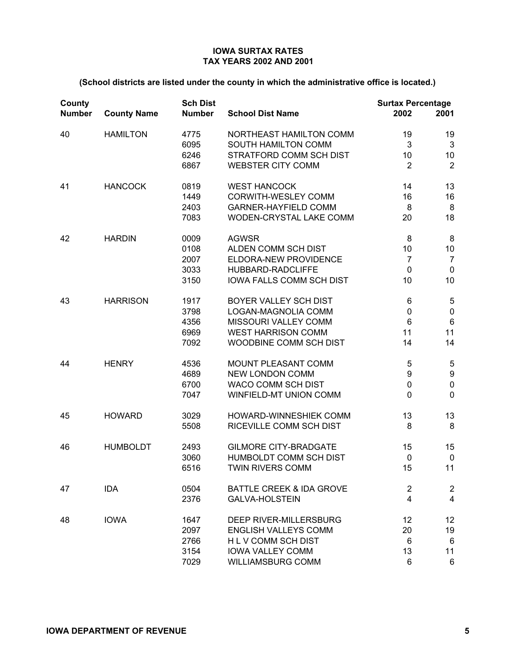| County<br><b>Number</b> | <b>County Name</b> | <b>Sch Dist</b><br><b>Number</b> | <b>School Dist Name</b>             | <b>Surtax Percentage</b><br>2002 | 2001           |
|-------------------------|--------------------|----------------------------------|-------------------------------------|----------------------------------|----------------|
| 40                      | <b>HAMILTON</b>    | 4775                             | NORTHEAST HAMILTON COMM             | 19                               | 19             |
|                         |                    | 6095                             | SOUTH HAMILTON COMM                 | 3                                | $\mathbf{3}$   |
|                         |                    | 6246                             | STRATFORD COMM SCH DIST             | 10                               | 10             |
|                         |                    | 6867                             | <b>WEBSTER CITY COMM</b>            | $\overline{2}$                   | $\overline{2}$ |
| 41                      | <b>HANCOCK</b>     | 0819                             | <b>WEST HANCOCK</b>                 | 14                               | 13             |
|                         |                    | 1449                             | CORWITH-WESLEY COMM                 | 16                               | 16             |
|                         |                    | 2403                             | <b>GARNER-HAYFIELD COMM</b>         | 8                                | 8              |
|                         |                    | 7083                             | WODEN-CRYSTAL LAKE COMM             | 20                               | 18             |
| 42                      | <b>HARDIN</b>      | 0009                             | <b>AGWSR</b>                        | 8                                | 8              |
|                         |                    | 0108                             | ALDEN COMM SCH DIST                 | 10                               | 10             |
|                         |                    | 2007                             | <b>ELDORA-NEW PROVIDENCE</b>        | $\overline{7}$                   | $\overline{7}$ |
|                         |                    | 3033                             | HUBBARD-RADCLIFFE                   | $\mathbf 0$                      | $\mathbf 0$    |
|                         |                    | 3150                             | <b>IOWA FALLS COMM SCH DIST</b>     | 10                               | 10             |
| 43                      | <b>HARRISON</b>    | 1917                             | BOYER VALLEY SCH DIST               | 6                                | 5              |
|                         |                    | 3798                             | LOGAN-MAGNOLIA COMM                 | $\pmb{0}$                        | $\pmb{0}$      |
|                         |                    | 4356                             | MISSOURI VALLEY COMM                | $6\phantom{1}$                   | $\,6$          |
|                         |                    | 6969                             | <b>WEST HARRISON COMM</b>           | 11                               | 11             |
|                         |                    | 7092                             | WOODBINE COMM SCH DIST              | 14                               | 14             |
| 44                      | <b>HENRY</b>       | 4536                             | <b>MOUNT PLEASANT COMM</b>          | 5                                | $\sqrt{5}$     |
|                         |                    | 4689                             | <b>NEW LONDON COMM</b>              | 9                                | 9              |
|                         |                    | 6700                             | WACO COMM SCH DIST                  | $\pmb{0}$                        | $\pmb{0}$      |
|                         |                    | 7047                             | WINFIELD-MT UNION COMM              | $\mathbf 0$                      | $\mathbf 0$    |
| 45                      | <b>HOWARD</b>      | 3029                             | HOWARD-WINNESHIEK COMM              | 13                               | 13             |
|                         |                    | 5508                             | RICEVILLE COMM SCH DIST             | 8                                | 8              |
| 46                      | <b>HUMBOLDT</b>    | 2493                             | <b>GILMORE CITY-BRADGATE</b>        | 15                               | 15             |
|                         |                    | 3060                             | HUMBOLDT COMM SCH DIST              | $\mathbf 0$                      | $\mathbf 0$    |
|                         |                    | 6516                             | <b>TWIN RIVERS COMM</b>             | 15                               | 11             |
| 47                      | <b>IDA</b>         | 0504                             | <b>BATTLE CREEK &amp; IDA GROVE</b> | $\overline{2}$                   | $\overline{c}$ |
|                         |                    | 2376                             | <b>GALVA-HOLSTEIN</b>               | 4                                | 4              |
| 48                      | <b>IOWA</b>        | 1647                             | DEEP RIVER-MILLERSBURG              | 12                               | 12             |
|                         |                    | 2097                             | <b>ENGLISH VALLEYS COMM</b>         | 20                               | 19             |
|                         |                    | 2766                             | H L V COMM SCH DIST                 | 6                                | 6              |
|                         |                    | 3154                             | <b>IOWA VALLEY COMM</b>             | 13                               | 11             |
|                         |                    | 7029                             | <b>WILLIAMSBURG COMM</b>            | 6                                | 6              |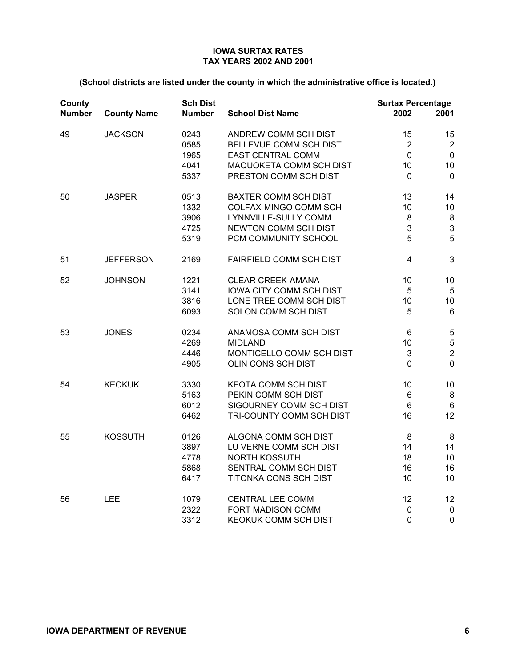| County<br><b>Number</b> | <b>County Name</b> | <b>Sch Dist</b><br><b>Number</b>     | <b>School Dist Name</b>                                                                                                        | <b>Surtax Percentage</b><br>2002                         | 2001                                                   |
|-------------------------|--------------------|--------------------------------------|--------------------------------------------------------------------------------------------------------------------------------|----------------------------------------------------------|--------------------------------------------------------|
| 49                      | <b>JACKSON</b>     | 0243<br>0585<br>1965<br>4041<br>5337 | ANDREW COMM SCH DIST<br>BELLEVUE COMM SCH DIST<br><b>EAST CENTRAL COMM</b><br>MAQUOKETA COMM SCH DIST<br>PRESTON COMM SCH DIST | 15<br>$\overline{2}$<br>$\mathbf 0$<br>10<br>$\mathbf 0$ | 15<br>$\overline{2}$<br>$\pmb{0}$<br>10<br>$\mathbf 0$ |
| 50                      | <b>JASPER</b>      | 0513<br>1332<br>3906<br>4725<br>5319 | <b>BAXTER COMM SCH DIST</b><br>COLFAX-MINGO COMM SCH<br>LYNNVILLE-SULLY COMM<br>NEWTON COMM SCH DIST<br>PCM COMMUNITY SCHOOL   | 13<br>10<br>8<br>3<br>5                                  | 14<br>10<br>8<br>3<br>5                                |
| 51                      | <b>JEFFERSON</b>   | 2169                                 | <b>FAIRFIELD COMM SCH DIST</b>                                                                                                 | $\overline{4}$                                           | 3                                                      |
| 52                      | <b>JOHNSON</b>     | 1221<br>3141<br>3816<br>6093         | <b>CLEAR CREEK-AMANA</b><br>IOWA CITY COMM SCH DIST<br>LONE TREE COMM SCH DIST<br>SOLON COMM SCH DIST                          | 10<br>$\sqrt{5}$<br>10<br>5                              | 10<br>$\sqrt{5}$<br>10<br>$6\phantom{1}$               |
| 53                      | <b>JONES</b>       | 0234<br>4269<br>4446<br>4905         | ANAMOSA COMM SCH DIST<br><b>MIDLAND</b><br>MONTICELLO COMM SCH DIST<br>OLIN CONS SCH DIST                                      | 6<br>10<br>3<br>0                                        | $\mathbf 5$<br>5<br>$\overline{2}$<br>$\mathbf 0$      |
| 54                      | <b>KEOKUK</b>      | 3330<br>5163<br>6012<br>6462         | <b>KEOTA COMM SCH DIST</b><br>PEKIN COMM SCH DIST<br>SIGOURNEY COMM SCH DIST<br>TRI-COUNTY COMM SCH DIST                       | 10<br>$\,6\,$<br>$6\phantom{1}$<br>16                    | 10<br>$\bf 8$<br>$\,6\,$<br>12                         |
| 55                      | <b>KOSSUTH</b>     | 0126<br>3897<br>4778<br>5868<br>6417 | ALGONA COMM SCH DIST<br>LU VERNE COMM SCH DIST<br><b>NORTH KOSSUTH</b><br>SENTRAL COMM SCH DIST<br>TITONKA CONS SCH DIST       | 8<br>14<br>18<br>16<br>10                                | 8<br>14<br>10<br>16<br>10                              |
| 56                      | LEE                | 1079<br>2322<br>3312                 | <b>CENTRAL LEE COMM</b><br>FORT MADISON COMM<br>KEOKUK COMM SCH DIST                                                           | 12<br>0<br>0                                             | 12<br>$\pmb{0}$<br>$\mathbf 0$                         |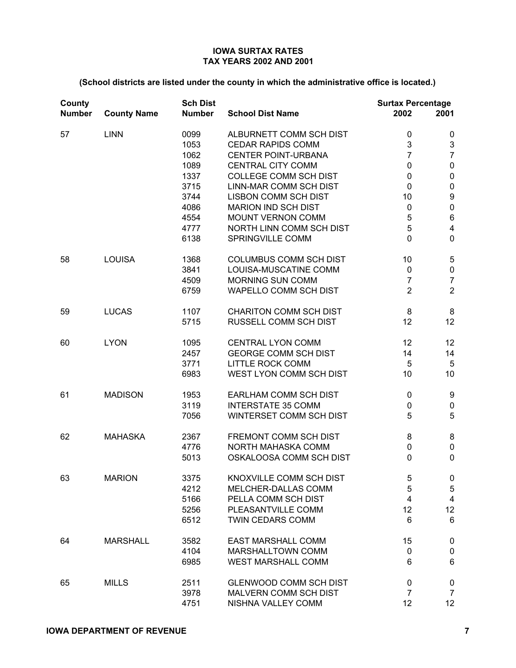| County<br><b>Number</b> | <b>County Name</b> | <b>Sch Dist</b><br><b>Number</b>                                             | <b>School Dist Name</b>                                                                                                                                                                                                                                                               | <b>Surtax Percentage</b><br>2002                                                                                            | 2001                                                                                                                                                                        |
|-------------------------|--------------------|------------------------------------------------------------------------------|---------------------------------------------------------------------------------------------------------------------------------------------------------------------------------------------------------------------------------------------------------------------------------------|-----------------------------------------------------------------------------------------------------------------------------|-----------------------------------------------------------------------------------------------------------------------------------------------------------------------------|
| 57                      | <b>LINN</b>        | 0099<br>1053<br>1062<br>1089<br>1337<br>3715<br>3744<br>4086<br>4554<br>4777 | ALBURNETT COMM SCH DIST<br><b>CEDAR RAPIDS COMM</b><br><b>CENTER POINT-URBANA</b><br><b>CENTRAL CITY COMM</b><br><b>COLLEGE COMM SCH DIST</b><br>LINN-MAR COMM SCH DIST<br><b>LISBON COMM SCH DIST</b><br><b>MARION IND SCH DIST</b><br>MOUNT VERNON COMM<br>NORTH LINN COMM SCH DIST | 0<br>3<br>$\overline{7}$<br>$\mathbf 0$<br>$\mathbf 0$<br>$\mathbf 0$<br>10<br>$\pmb{0}$<br>$\mathbf 5$<br>5<br>$\mathbf 0$ | 0<br>$\ensuremath{\mathsf{3}}$<br>$\overline{7}$<br>$\pmb{0}$<br>$\pmb{0}$<br>$\pmb{0}$<br>$\boldsymbol{9}$<br>$\pmb{0}$<br>$\,6$<br>$\overline{\mathbf{4}}$<br>$\mathbf 0$ |
| 58                      | <b>LOUISA</b>      | 6138<br>1368<br>3841<br>4509<br>6759                                         | SPRINGVILLE COMM<br><b>COLUMBUS COMM SCH DIST</b><br>LOUISA-MUSCATINE COMM<br><b>MORNING SUN COMM</b><br>WAPELLO COMM SCH DIST                                                                                                                                                        | 10<br>$\pmb{0}$<br>$\overline{7}$<br>$\overline{2}$                                                                         | $\sqrt{5}$<br>$\pmb{0}$<br>$\overline{7}$<br>$\overline{2}$                                                                                                                 |
| 59                      | <b>LUCAS</b>       | 1107<br>5715                                                                 | <b>CHARITON COMM SCH DIST</b><br>RUSSELL COMM SCH DIST                                                                                                                                                                                                                                | 8<br>12                                                                                                                     | 8<br>12                                                                                                                                                                     |
| 60                      | <b>LYON</b>        | 1095<br>2457<br>3771<br>6983                                                 | <b>CENTRAL LYON COMM</b><br><b>GEORGE COMM SCH DIST</b><br><b>LITTLE ROCK COMM</b><br>WEST LYON COMM SCH DIST                                                                                                                                                                         | 12<br>14<br>5<br>10                                                                                                         | 12<br>14<br>$\sqrt{5}$<br>10                                                                                                                                                |
| 61                      | <b>MADISON</b>     | 1953<br>3119<br>7056                                                         | EARLHAM COMM SCH DIST<br><b>INTERSTATE 35 COMM</b><br>WINTERSET COMM SCH DIST                                                                                                                                                                                                         | $\pmb{0}$<br>0<br>5                                                                                                         | 9<br>$\pmb{0}$<br>5                                                                                                                                                         |
| 62                      | <b>MAHASKA</b>     | 2367<br>4776<br>5013                                                         | FREMONT COMM SCH DIST<br>NORTH MAHASKA COMM<br>OSKALOOSA COMM SCH DIST                                                                                                                                                                                                                | 8<br>$\pmb{0}$<br>$\mathbf 0$                                                                                               | 8<br>$\pmb{0}$<br>$\mathbf 0$                                                                                                                                               |
| 63                      | <b>MARION</b>      | 3375<br>4212<br>5166<br>5256<br>6512                                         | KNOXVILLE COMM SCH DIST<br>MELCHER-DALLAS COMM<br>PELLA COMM SCH DIST<br>PLEASANTVILLE COMM<br><b>TWIN CEDARS COMM</b>                                                                                                                                                                | 5<br>5<br>$\overline{\mathbf{4}}$<br>12<br>6                                                                                | 0<br>$\,$ 5 $\,$<br>$\overline{\mathbf{4}}$<br>12<br>$6\phantom{1}$                                                                                                         |
| 64                      | <b>MARSHALL</b>    | 3582<br>4104<br>6985                                                         | <b>EAST MARSHALL COMM</b><br>MARSHALLTOWN COMM<br><b>WEST MARSHALL COMM</b>                                                                                                                                                                                                           | 15<br>0<br>6                                                                                                                | $\pmb{0}$<br>$\pmb{0}$<br>6                                                                                                                                                 |
| 65                      | <b>MILLS</b>       | 2511<br>3978<br>4751                                                         | <b>GLENWOOD COMM SCH DIST</b><br>MALVERN COMM SCH DIST<br>NISHNA VALLEY COMM                                                                                                                                                                                                          | $\pmb{0}$<br>$\overline{7}$<br>12                                                                                           | $\mathbf 0$<br>$\overline{7}$<br>12                                                                                                                                         |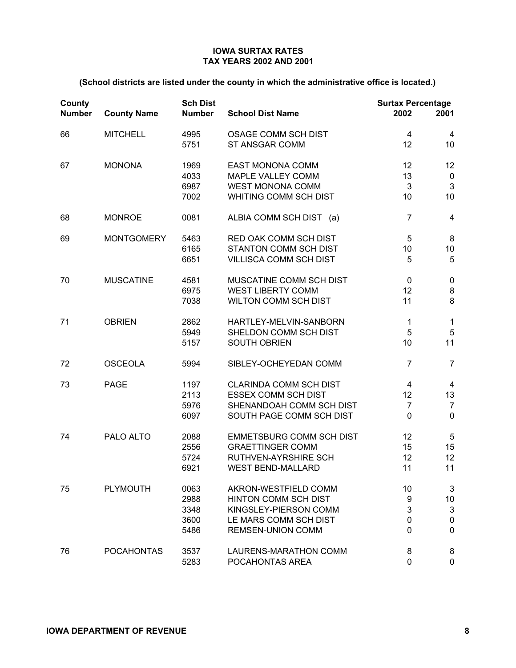| County<br><b>Number</b> | <b>County Name</b> | <b>Sch Dist</b><br><b>Number</b>     | <b>School Dist Name</b>                                                                                                           | <b>Surtax Percentage</b><br>2002         | 2001                                                         |
|-------------------------|--------------------|--------------------------------------|-----------------------------------------------------------------------------------------------------------------------------------|------------------------------------------|--------------------------------------------------------------|
| 66                      | <b>MITCHELL</b>    | 4995<br>5751                         | <b>OSAGE COMM SCH DIST</b><br><b>ST ANSGAR COMM</b>                                                                               | 4<br>12                                  | 4<br>10                                                      |
| 67                      | <b>MONONA</b>      | 1969<br>4033<br>6987<br>7002         | <b>EAST MONONA COMM</b><br>MAPLE VALLEY COMM<br><b>WEST MONONA COMM</b><br>WHITING COMM SCH DIST                                  | 12<br>13<br>3<br>10                      | 12<br>$\mathbf 0$<br>$\mathbf{3}$<br>10                      |
| 68                      | <b>MONROE</b>      | 0081                                 | ALBIA COMM SCH DIST (a)                                                                                                           | $\overline{7}$                           | $\overline{4}$                                               |
| 69                      | <b>MONTGOMERY</b>  | 5463<br>6165<br>6651                 | RED OAK COMM SCH DIST<br><b>STANTON COMM SCH DIST</b><br><b>VILLISCA COMM SCH DIST</b>                                            | $\overline{5}$<br>10<br>5                | $\bf 8$<br>10<br>5                                           |
| 70                      | <b>MUSCATINE</b>   | 4581<br>6975<br>7038                 | MUSCATINE COMM SCH DIST<br><b>WEST LIBERTY COMM</b><br><b>WILTON COMM SCH DIST</b>                                                | $\mathbf 0$<br>12<br>11                  | $\pmb{0}$<br>8<br>8                                          |
| 71                      | <b>OBRIEN</b>      | 2862<br>5949<br>5157                 | HARTLEY-MELVIN-SANBORN<br>SHELDON COMM SCH DIST<br><b>SOUTH OBRIEN</b>                                                            | 1<br>5<br>10                             | $\mathbf{1}$<br>$\sqrt{5}$<br>11                             |
| 72                      | <b>OSCEOLA</b>     | 5994                                 | SIBLEY-OCHEYEDAN COMM                                                                                                             | $\overline{7}$                           | $\overline{7}$                                               |
| 73                      | <b>PAGE</b>        | 1197<br>2113<br>5976<br>6097         | <b>CLARINDA COMM SCH DIST</b><br><b>ESSEX COMM SCH DIST</b><br>SHENANDOAH COMM SCH DIST<br>SOUTH PAGE COMM SCH DIST               | 4<br>12<br>$\overline{7}$<br>$\mathbf 0$ | $\overline{\mathbf{4}}$<br>13<br>$\overline{7}$<br>$\pmb{0}$ |
| 74                      | PALO ALTO          | 2088<br>2556<br>5724<br>6921         | <b>EMMETSBURG COMM SCH DIST</b><br><b>GRAETTINGER COMM</b><br>RUTHVEN-AYRSHIRE SCH<br><b>WEST BEND-MALLARD</b>                    | 12<br>15<br>12<br>11                     | $\sqrt{5}$<br>15<br>12<br>11                                 |
| 75                      | <b>PLYMOUTH</b>    | 0063<br>2988<br>3348<br>3600<br>5486 | AKRON-WESTFIELD COMM<br><b>HINTON COMM SCH DIST</b><br>KINGSLEY-PIERSON COMM<br>LE MARS COMM SCH DIST<br><b>REMSEN-UNION COMM</b> | 10<br>9<br>3<br>0<br>$\mathbf{0}$        | 3<br>10<br>$\mathsf 3$<br>0<br>0                             |
| 76                      | <b>POCAHONTAS</b>  | 3537<br>5283                         | LAURENS-MARATHON COMM<br>POCAHONTAS AREA                                                                                          | 8<br>0                                   | 8<br>0                                                       |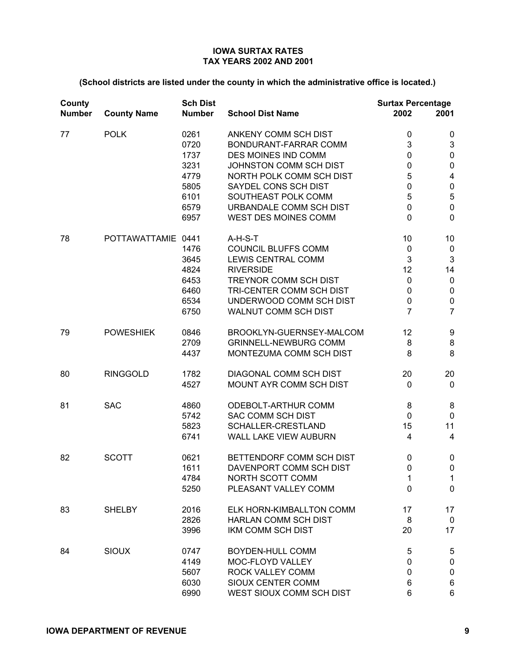| County<br><b>Number</b> | <b>County Name</b> | <b>Sch Dist</b><br><b>Number</b>                                     | <b>School Dist Name</b>                                                                                                                                                                                                      | <b>Surtax Percentage</b><br>2002                                           | 2001                                                                                                      |
|-------------------------|--------------------|----------------------------------------------------------------------|------------------------------------------------------------------------------------------------------------------------------------------------------------------------------------------------------------------------------|----------------------------------------------------------------------------|-----------------------------------------------------------------------------------------------------------|
| 77                      | <b>POLK</b>        | 0261<br>0720<br>1737<br>3231<br>4779<br>5805<br>6101<br>6579<br>6957 | ANKENY COMM SCH DIST<br>BONDURANT-FARRAR COMM<br>DES MOINES IND COMM<br>JOHNSTON COMM SCH DIST<br>NORTH POLK COMM SCH DIST<br>SAYDEL CONS SCH DIST<br>SOUTHEAST POLK COMM<br>URBANDALE COMM SCH DIST<br>WEST DES MOINES COMM | 0<br>3<br>$\mathbf 0$<br>0<br>5<br>0<br>5<br>$\mathbf 0$<br>$\overline{0}$ | 0<br>3<br>$\pmb{0}$<br>$\pmb{0}$<br>$\overline{\mathbf{4}}$<br>$\pmb{0}$<br>5<br>$\pmb{0}$<br>$\mathbf 0$ |
| 78                      | POTTAWATTAMIE 0441 | 1476<br>3645<br>4824<br>6453<br>6460<br>6534<br>6750                 | A-H-S-T<br>COUNCIL BLUFFS COMM<br><b>LEWIS CENTRAL COMM</b><br><b>RIVERSIDE</b><br>TREYNOR COMM SCH DIST<br>TRI-CENTER COMM SCH DIST<br>UNDERWOOD COMM SCH DIST<br>WALNUT COMM SCH DIST                                      | 10<br>$\pmb{0}$<br>3<br>12<br>$\mathbf 0$<br>0<br>0<br>7                   | 10<br>$\pmb{0}$<br>$\mathfrak{S}$<br>14<br>$\pmb{0}$<br>$\pmb{0}$<br>$\pmb{0}$<br>$\overline{7}$          |
| 79                      | <b>POWESHIEK</b>   | 0846<br>2709<br>4437                                                 | BROOKLYN-GUERNSEY-MALCOM<br><b>GRINNELL-NEWBURG COMM</b><br>MONTEZUMA COMM SCH DIST                                                                                                                                          | 12<br>8<br>8                                                               | 9<br>8<br>8                                                                                               |
| 80                      | <b>RINGGOLD</b>    | 1782<br>4527                                                         | <b>DIAGONAL COMM SCH DIST</b><br>MOUNT AYR COMM SCH DIST                                                                                                                                                                     | 20<br>0                                                                    | 20<br>$\pmb{0}$                                                                                           |
| 81                      | <b>SAC</b>         | 4860<br>5742<br>5823<br>6741                                         | ODEBOLT-ARTHUR COMM<br><b>SAC COMM SCH DIST</b><br>SCHALLER-CRESTLAND<br>WALL LAKE VIEW AUBURN                                                                                                                               | 8<br>0<br>15<br>4                                                          | 8<br>$\pmb{0}$<br>11<br>$\overline{\mathbf{4}}$                                                           |
| 82                      | <b>SCOTT</b>       | 0621<br>1611<br>4784<br>5250                                         | BETTENDORF COMM SCH DIST<br>DAVENPORT COMM SCH DIST<br>NORTH SCOTT COMM<br>PLEASANT VALLEY COMM                                                                                                                              | 0<br>$\mathbf 0$<br>1<br>$\mathbf 0$                                       | $\pmb{0}$<br>$\pmb{0}$<br>$\mathbf 1$<br>$\mathbf 0$                                                      |
| 83                      | <b>SHELBY</b>      | 2016<br>2826<br>3996                                                 | ELK HORN-KIMBALLTON COMM<br>HARLAN COMM SCH DIST<br>IKM COMM SCH DIST                                                                                                                                                        | 17<br>8<br>20                                                              | 17<br>$\mathbf 0$<br>17                                                                                   |
| 84                      | <b>SIOUX</b>       | 0747<br>4149<br>5607<br>6030<br>6990                                 | BOYDEN-HULL COMM<br>MOC-FLOYD VALLEY<br>ROCK VALLEY COMM<br>SIOUX CENTER COMM<br>WEST SIOUX COMM SCH DIST                                                                                                                    | 5<br>0<br>$\mathbf 0$<br>6<br>6                                            | 5<br>$\pmb{0}$<br>$\pmb{0}$<br>$\,6$<br>6                                                                 |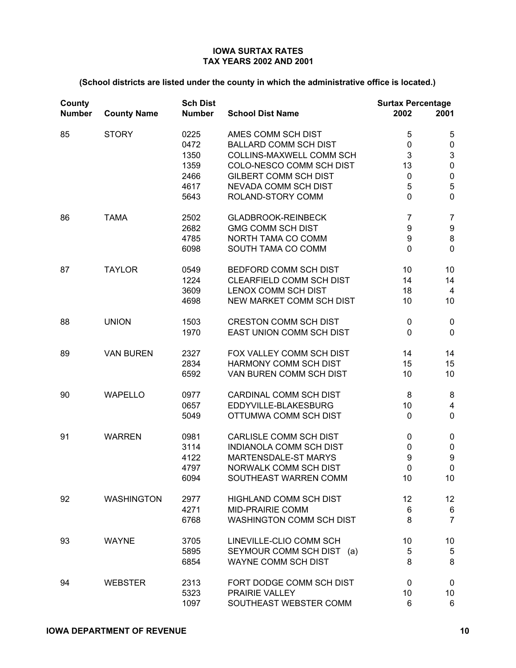| County<br><b>Number</b> | <b>County Name</b> | <b>Sch Dist</b><br><b>Number</b>                     | <b>School Dist Name</b>                                                                                                                                                                        | <b>Surtax Percentage</b><br>2002                      | 2001                                                                                                |
|-------------------------|--------------------|------------------------------------------------------|------------------------------------------------------------------------------------------------------------------------------------------------------------------------------------------------|-------------------------------------------------------|-----------------------------------------------------------------------------------------------------|
| 85                      | <b>STORY</b>       | 0225<br>0472<br>1350<br>1359<br>2466<br>4617<br>5643 | AMES COMM SCH DIST<br><b>BALLARD COMM SCH DIST</b><br>COLLINS-MAXWELL COMM SCH<br>COLO-NESCO COMM SCH DIST<br><b>GILBERT COMM SCH DIST</b><br><b>NEVADA COMM SCH DIST</b><br>ROLAND-STORY COMM | 5<br>0<br>3<br>13<br>$\pmb{0}$<br>5<br>$\overline{0}$ | 5<br>$\pmb{0}$<br>$\ensuremath{\mathsf{3}}$<br>$\pmb{0}$<br>$\pmb{0}$<br>$\mathbf 5$<br>$\mathbf 0$ |
| 86                      | <b>TAMA</b>        | 2502<br>2682<br>4785<br>6098                         | <b>GLADBROOK-REINBECK</b><br><b>GMG COMM SCH DIST</b><br>NORTH TAMA CO COMM<br>SOUTH TAMA CO COMM                                                                                              | $\overline{7}$<br>9<br>9<br>$\overline{0}$            | $\overline{7}$<br>$\boldsymbol{9}$<br>$\bf 8$<br>$\mathbf 0$                                        |
| 87                      | <b>TAYLOR</b>      | 0549<br>1224<br>3609<br>4698                         | BEDFORD COMM SCH DIST<br>CLEARFIELD COMM SCH DIST<br>LENOX COMM SCH DIST<br>NEW MARKET COMM SCH DIST                                                                                           | 10<br>14<br>18<br>10                                  | 10<br>14<br>4<br>10                                                                                 |
| 88                      | <b>UNION</b>       | 1503<br>1970                                         | <b>CRESTON COMM SCH DIST</b><br>EAST UNION COMM SCH DIST                                                                                                                                       | 0<br>$\mathbf 0$                                      | $\pmb{0}$<br>$\mathbf 0$                                                                            |
| 89                      | <b>VAN BUREN</b>   | 2327<br>2834<br>6592                                 | FOX VALLEY COMM SCH DIST<br>HARMONY COMM SCH DIST<br>VAN BUREN COMM SCH DIST                                                                                                                   | 14<br>15<br>10                                        | 14<br>15<br>10                                                                                      |
| 90                      | <b>WAPELLO</b>     | 0977<br>0657<br>5049                                 | CARDINAL COMM SCH DIST<br>EDDYVILLE-BLAKESBURG<br>OTTUMWA COMM SCH DIST                                                                                                                        | 8<br>10<br>$\mathbf 0$                                | 8<br>$\overline{\mathbf{4}}$<br>$\pmb{0}$                                                           |
| 91                      | <b>WARREN</b>      | 0981<br>3114<br>4122<br>4797<br>6094                 | CARLISLE COMM SCH DIST<br><b>INDIANOLA COMM SCH DIST</b><br>MARTENSDALE-ST MARYS<br>NORWALK COMM SCH DIST<br>SOUTHEAST WARREN COMM                                                             | $\pmb{0}$<br>0<br>9<br>$\pmb{0}$<br>10                | $\pmb{0}$<br>$\pmb{0}$<br>$\boldsymbol{9}$<br>$\pmb{0}$<br>10                                       |
| 92                      | <b>WASHINGTON</b>  | 2977<br>4271<br>6768                                 | <b>HIGHLAND COMM SCH DIST</b><br><b>MID-PRAIRIE COMM</b><br>WASHINGTON COMM SCH DIST                                                                                                           | 12<br>6<br>8                                          | 12 <sub>2</sub><br>6<br>$\overline{7}$                                                              |
| 93                      | <b>WAYNE</b>       | 3705<br>5895<br>6854                                 | LINEVILLE-CLIO COMM SCH<br>SEYMOUR COMM SCH DIST (a)<br><b>WAYNE COMM SCH DIST</b>                                                                                                             | 10<br>5<br>8                                          | 10<br>$\sqrt{5}$<br>8                                                                               |
| 94                      | <b>WEBSTER</b>     | 2313<br>5323<br>1097                                 | FORT DODGE COMM SCH DIST<br>PRAIRIE VALLEY<br>SOUTHEAST WEBSTER COMM                                                                                                                           | 0<br>10<br>6                                          | $\mathbf 0$<br>10<br>6                                                                              |